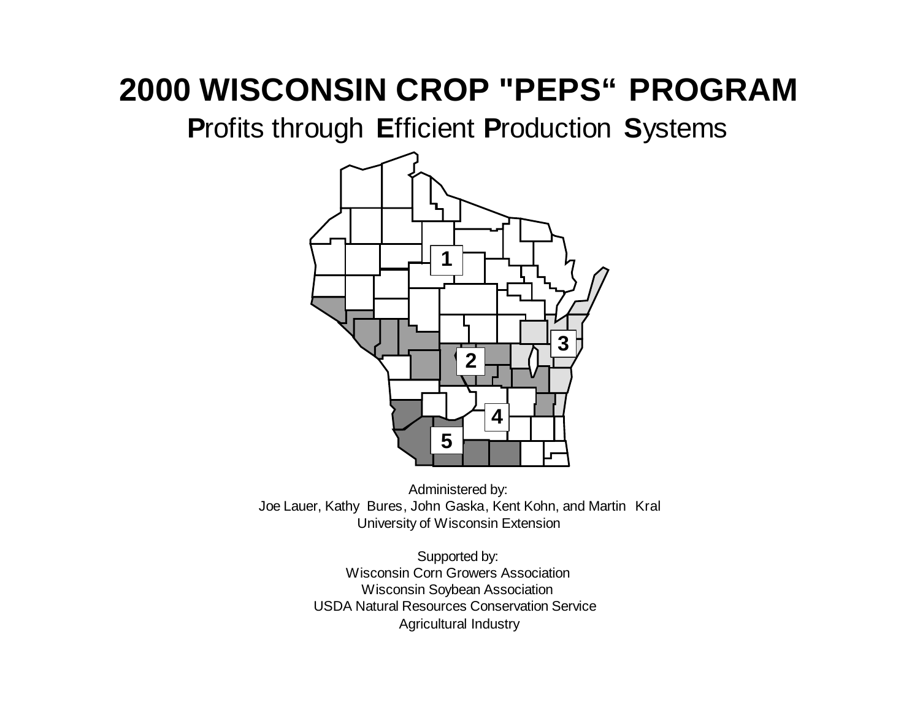**P**rofits through **E**fficient **P**roduction **S**ystems



Administered by: Joe Lauer, Kathy Bures, John Gaska, Kent Kohn, and Martin Kral University of Wisconsin Extension

> Supported by: Wisconsin Corn Growers Association Wisconsin Soybean Association USDA Natural Resources Conservation Service Agricultural Industry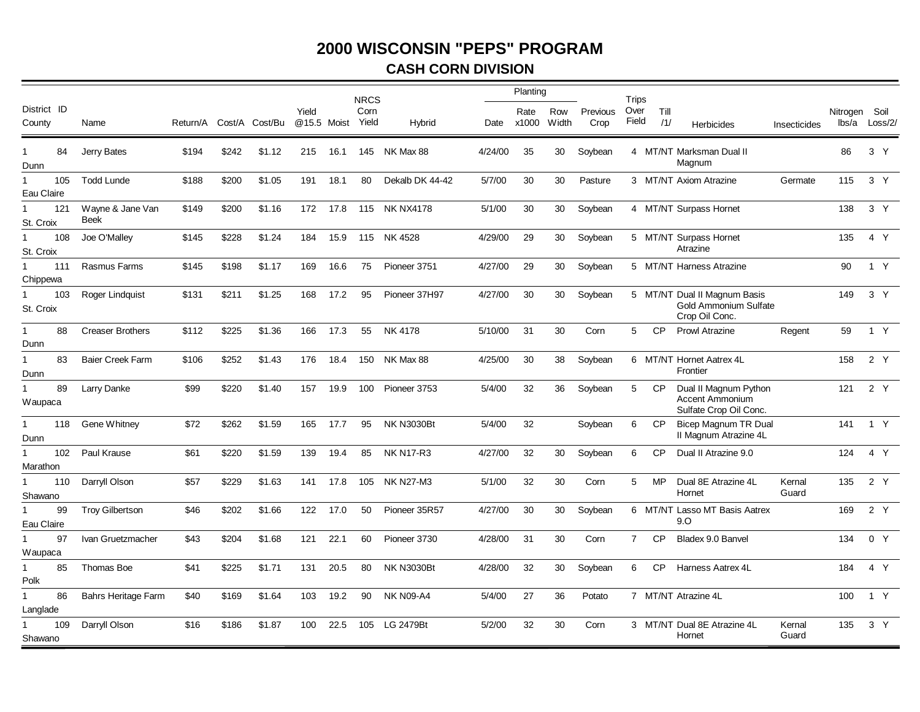#### **CASH CORN DIVISION**

|                                  |                            |          |       |                |       |             | <b>NRCS</b>   |                   |         | Planting      |                 |                  | Trips          |             |                                                                           |                 |                        |                |
|----------------------------------|----------------------------|----------|-------|----------------|-------|-------------|---------------|-------------------|---------|---------------|-----------------|------------------|----------------|-------------|---------------------------------------------------------------------------|-----------------|------------------------|----------------|
| District ID<br>County            | Name                       | Return/A |       | Cost/A Cost/Bu | Yield | @15.5 Moist | Corn<br>Yield | Hybrid            | Date    | Rate<br>x1000 | Row<br>Width    | Previous<br>Crop | Over<br>Field  | Till<br>/1/ | <b>Herbicides</b>                                                         | Insecticides    | Nitrogen Soil<br>lbs/a | Loss/2/        |
| 84<br>$\mathbf{1}$<br>Dunn       | Jerry Bates                | \$194    | \$242 | \$1.12         | 215   | 16.1        | 145           | NK Max 88         | 4/24/00 | 35            | 30              | Soybean          |                |             | 4 MT/NT Marksman Dual II<br>Magnum                                        |                 | 86                     | 3 <sup>Y</sup> |
| 105<br>1<br>Eau Claire           | <b>Todd Lunde</b>          | \$188    | \$200 | \$1.05         | 191   | 18.1        | 80            | Dekalb DK 44-42   | 5/7/00  | 30            | 30              | Pasture          |                |             | 3 MT/NT Axiom Atrazine                                                    | Germate         | 115                    | 3 Y            |
| 121<br>St. Croix                 | Wayne & Jane Van<br>Beek   | \$149    | \$200 | \$1.16         | 172   | 17.8        | 115           | <b>NK NX4178</b>  | 5/1/00  | 30            | 30              | Soybean          |                |             | 4 MT/NT Surpass Hornet                                                    |                 | 138                    | 3 <sup>Y</sup> |
| 108<br>-1<br>St. Croix           | Joe O'Malley               | \$145    | \$228 | \$1.24         | 184   | 15.9        | 115           | NK 4528           | 4/29/00 | 29            | 30              | Soybean          |                |             | 5 MT/NT Surpass Hornet<br>Atrazine                                        |                 | 135                    | 4 Y            |
| 111<br>$\mathbf{1}$<br>Chippewa  | Rasmus Farms               | \$145    | \$198 | \$1.17         | 169   | 16.6        | 75            | Pioneer 3751      | 4/27/00 | 29            | 30 <sub>o</sub> | Soybean          |                |             | 5 MT/NT Harness Atrazine                                                  |                 | 90                     | 1 Y            |
| 103<br>$\mathbf{1}$<br>St. Croix | Roger Lindquist            | \$131    | \$211 | \$1.25         | 168   | 17.2        | 95            | Pioneer 37H97     | 4/27/00 | 30            | 30              | Soybean          |                |             | 5 MT/NT Dual II Magnum Basis<br>Gold Ammonium Sulfate<br>Crop Oil Conc.   |                 | 149                    | 3 <sup>7</sup> |
| 88<br>$\mathbf{1}$<br>Dunn       | <b>Creaser Brothers</b>    | \$112    | \$225 | \$1.36         | 166   | 17.3        | 55            | NK 4178           | 5/10/00 | 31            | 30              | Corn             | 5              | <b>CP</b>   | <b>Prowl Atrazine</b>                                                     | Regent          | 59                     | 1 Y            |
| 83<br>$\mathbf{1}$<br>Dunn       | Baier Creek Farm           | \$106    | \$252 | \$1.43         | 176   | 18.4        | 150           | NK Max 88         | 4/25/00 | 30            | 38              | Soybean          |                |             | 6 MT/NT Hornet Aatrex 4L<br>Frontier                                      |                 | 158                    | 2 Y            |
| 89<br>$\mathbf{1}$<br>Waupaca    | Larry Danke                | \$99     | \$220 | \$1.40         | 157   | 19.9        | 100           | Pioneer 3753      | 5/4/00  | 32            | 36              | Soybean          | 5              | <b>CP</b>   | Dual II Magnum Python<br><b>Accent Ammonium</b><br>Sulfate Crop Oil Conc. |                 | 121                    | 2 Y            |
| 118<br>$\mathbf{1}$<br>Dunn      | Gene Whitney               | \$72     | \$262 | \$1.59         | 165   | 17.7        | 95            | <b>NK N3030Bt</b> | 5/4/00  | 32            |                 | Soybean          | 6              | <b>CP</b>   | Bicep Magnum TR Dual<br>II Magnum Atrazine 4L                             |                 | 141                    | 1 Y            |
| 102<br>$\mathbf{1}$<br>Marathon  | Paul Krause                | \$61     | \$220 | \$1.59         | 139   | 19.4        | 85            | <b>NK N17-R3</b>  | 4/27/00 | 32            | 30              | Soybean          | 6              | <b>CP</b>   | Dual II Atrazine 9.0                                                      |                 | 124                    | 4 Y            |
| 110<br>Shawano                   | Darryll Olson              | \$57     | \$229 | \$1.63         | 141   | 17.8        | 105           | <b>NK N27-M3</b>  | 5/1/00  | 32            | 30              | Corn             | 5              | MP          | Dual 8E Atrazine 4L<br>Hornet                                             | Kernal<br>Guard | 135                    | 2 Y            |
| 99<br>Eau Claire                 | <b>Troy Gilbertson</b>     | \$46     | \$202 | \$1.66         | 122   | 17.0        | 50            | Pioneer 35R57     | 4/27/00 | 30            | 30              | Soybean          |                |             | 6 MT/NT Lasso MT Basis Aatrex<br>9.0                                      |                 | 169                    | 2Y             |
| 97<br>$\mathbf{1}$<br>Waupaca    | Ivan Gruetzmacher          | \$43     | \$204 | \$1.68         | 121   | 22.1        | 60            | Pioneer 3730      | 4/28/00 | 31            | 30              | Corn             | $\overline{7}$ | <b>CP</b>   | Bladex 9.0 Banvel                                                         |                 | 134                    | 0 Y            |
| 85<br>$\mathbf{1}$<br>Polk       | Thomas Boe                 | \$41     | \$225 | \$1.71         | 131   | 20.5        | 80            | <b>NK N3030Bt</b> | 4/28/00 | 32            | 30              | Soybean          | 6              | <b>CP</b>   | Harness Aatrex 4L                                                         |                 | 184                    | 4 Y            |
| $\mathbf{1}$<br>86<br>Langlade   | <b>Bahrs Heritage Farm</b> | \$40     | \$169 | \$1.64         | 103   | 19.2        | 90            | <b>NK N09-A4</b>  | 5/4/00  | 27            | 36              | Potato           |                |             | 7 MT/NT Atrazine 4L                                                       |                 | 100                    | 1 Y            |
| 109<br>Shawano                   | Darryll Olson              | \$16     | \$186 | \$1.87         | 100   | 22.5        | 105           | <b>LG 2479Bt</b>  | 5/2/00  | 32            | 30              | Corn             |                |             | 3 MT/NT Dual 8E Atrazine 4L<br>Hornet                                     | Kernal<br>Guard | 135                    | 3 <sup>7</sup> |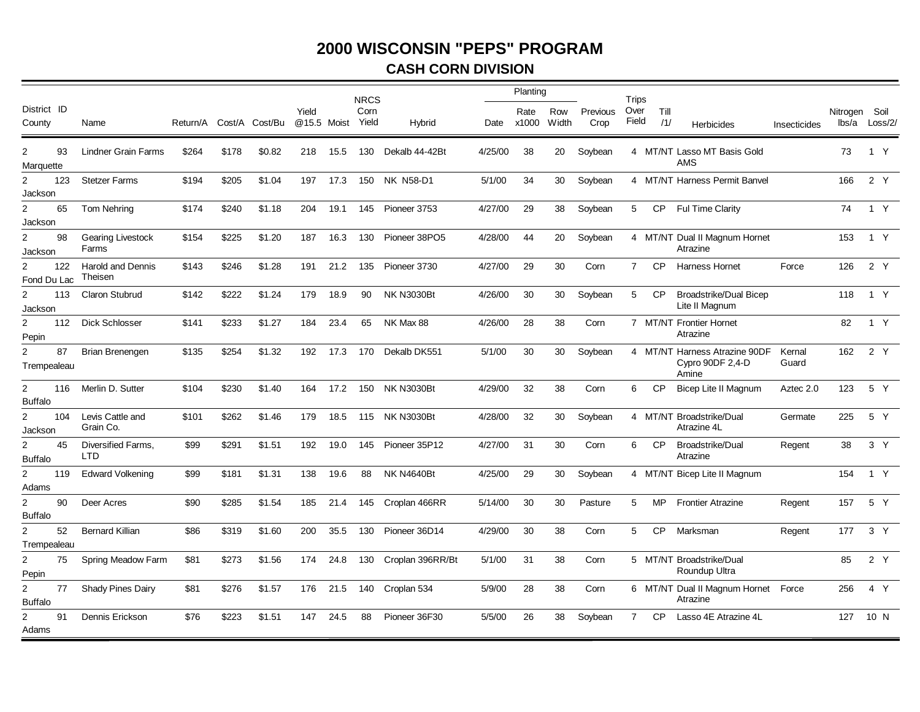## **CASH CORN DIVISION**

|                                         |                                     |       |       |                         |       |             | <b>NRCS</b>   |                   |         | Planting      |              |                  | Trips          |             |                                                            |                 |               |                |
|-----------------------------------------|-------------------------------------|-------|-------|-------------------------|-------|-------------|---------------|-------------------|---------|---------------|--------------|------------------|----------------|-------------|------------------------------------------------------------|-----------------|---------------|----------------|
| District ID<br>County                   | Name                                |       |       | Return/A Cost/A Cost/Bu | Yield | @15.5 Moist | Corn<br>Yield | Hybrid            | Date    | Rate<br>x1000 | Row<br>Width | Previous<br>Crop | Over<br>Field  | Till<br>/1/ | Herbicides                                                 | Insecticides    | Nitrogen Soil | lbs/a Loss/2/  |
| 93<br>$\overline{2}$<br>Marquette       | <b>Lindner Grain Farms</b>          | \$264 | \$178 | \$0.82                  | 218   | 15.5        | 130           | Dekalb 44-42Bt    | 4/25/00 | 38            | 20           | Soybean          |                |             | 4 MT/NT Lasso MT Basis Gold<br>AMS                         |                 | 73            | 1 Y            |
| $\overline{2}$<br>123<br>Jackson        | <b>Stetzer Farms</b>                | \$194 | \$205 | \$1.04                  | 197   | 17.3        | 150           | <b>NK N58-D1</b>  | 5/1/00  | 34            | 30           | Soybean          |                |             | 4 MT/NT Harness Permit Banvel                              |                 | 166           | 2 Y            |
| $\overline{2}$<br>65<br>Jackson         | Tom Nehring                         | \$174 | \$240 | \$1.18                  | 204   | 19.1        | 145           | Pioneer 3753      | 4/27/00 | 29            | 38           | Soybean          | 5              | <b>CP</b>   | <b>Ful Time Clarity</b>                                    |                 | 74            | 1 Y            |
| 2<br>98<br>Jackson                      | <b>Gearing Livestock</b><br>Farms   | \$154 | \$225 | \$1.20                  | 187   | 16.3        | 130           | Pioneer 38PO5     | 4/28/00 | 44            | 20           | Soybean          |                |             | 4 MT/NT Dual II Magnum Hornet<br>Atrazine                  |                 | 153           | 1 Y            |
| 122<br>2<br>Fond Du Lac                 | <b>Harold and Dennis</b><br>Theisen | \$143 | \$246 | \$1.28                  | 191   | 21.2        | 135           | Pioneer 3730      | 4/27/00 | 29            | 30           | Corn             | $\overline{7}$ | <b>CP</b>   | <b>Harness Hornet</b>                                      | Force           | 126           | 2 Y            |
| $\overline{2}$<br>113<br>Jackson        | <b>Claron Stubrud</b>               | \$142 | \$222 | \$1.24                  | 179   | 18.9        | 90            | <b>NK N3030Bt</b> | 4/26/00 | 30            | 30           | Soybean          | 5              | <b>CP</b>   | <b>Broadstrike/Dual Bicep</b><br>Lite II Magnum            |                 | 118           | 1 Y            |
| 2<br>112<br>Pepin                       | <b>Dick Schlosser</b>               | \$141 | \$233 | \$1.27                  | 184   | 23.4        | 65            | NK Max 88         | 4/26/00 | 28            | 38           | Corn             |                |             | 7 MT/NT Frontier Hornet<br>Atrazine                        |                 | 82            | 1 Y            |
| 87<br>$\overline{2}$<br>Trempealeau     | Brian Brenengen                     | \$135 | \$254 | \$1.32                  | 192   | 17.3        | 170           | Dekalb DK551      | 5/1/00  | 30            | 30           | Soybean          |                |             | 4 MT/NT Harness Atrazine 90DF<br>Cypro 90DF 2,4-D<br>Amine | Kernal<br>Guard | 162           | 2 Y            |
| $\overline{2}$<br>116<br><b>Buffalo</b> | Merlin D. Sutter                    | \$104 | \$230 | \$1.40                  | 164   | 17.2        | 150           | <b>NK N3030Bt</b> | 4/29/00 | 32            | 38           | Corn             | 6              | <b>CP</b>   | <b>Bicep Lite II Magnum</b>                                | Aztec 2.0       | 123           | 5 Y            |
| $\overline{2}$<br>104<br>Jackson        | Levis Cattle and<br>Grain Co.       | \$101 | \$262 | \$1.46                  | 179   | 18.5        | 115           | <b>NK N3030Bt</b> | 4/28/00 | 32            | 30           | Soybean          |                |             | 4 MT/NT Broadstrike/Dual<br>Atrazine 4L                    | Germate         | 225           | 5 Y            |
| 2<br>45<br><b>Buffalo</b>               | Diversified Farms,<br>LTD           | \$99  | \$291 | \$1.51                  | 192   | 19.0        | 145           | Pioneer 35P12     | 4/27/00 | 31            | 30           | Corn             | 6              | <b>CP</b>   | Broadstrike/Dual<br>Atrazine                               | Regent          | 38            | 3 <sup>Y</sup> |
| $\overline{2}$<br>119<br>Adams          | <b>Edward Volkening</b>             | \$99  | \$181 | \$1.31                  | 138   | 19.6        | 88            | <b>NK N4640Bt</b> | 4/25/00 | 29            | 30           | Soybean          |                |             | 4 MT/NT Bicep Lite II Magnum                               |                 | 154           | 1 Y            |
| $\overline{2}$<br>90<br><b>Buffalo</b>  | Deer Acres                          | \$90  | \$285 | \$1.54                  | 185   | 21.4        | 145           | Croplan 466RR     | 5/14/00 | 30            | 30           | Pasture          | 5              | MP          | <b>Frontier Atrazine</b>                                   | Regent          | 157           | 5 Y            |
| 2<br>52<br>Trempealeau                  | <b>Bernard Killian</b>              | \$86  | \$319 | \$1.60                  | 200   | 35.5        | 130           | Pioneer 36D14     | 4/29/00 | 30            | 38           | Corn             | 5              | <b>CP</b>   | Marksman                                                   | Regent          | 177           | 3 <sup>7</sup> |
| $\overline{2}$<br>75<br>Pepin           | Spring Meadow Farm                  | \$81  | \$273 | \$1.56                  | 174   | 24.8        | 130           | Croplan 396RR/Bt  | 5/1/00  | 31            | 38           | Corn             |                |             | 5 MT/NT Broadstrike/Dual<br>Roundup Ultra                  |                 | 85            | 2 Y            |
| $\overline{2}$<br>77<br><b>Buffalo</b>  | <b>Shady Pines Dairy</b>            | \$81  | \$276 | \$1.57                  | 176   | 21.5        | 140           | Croplan 534       | 5/9/00  | 28            | 38           | Corn             |                |             | 6 MT/NT Dual II Magnum Hornet Force<br>Atrazine            |                 | 256           | 4 Y            |
| $\overline{2}$<br>91<br>Adams           | Dennis Erickson                     | \$76  | \$223 | \$1.51                  | 147   | 24.5        | 88            | Pioneer 36F30     | 5/5/00  | 26            | 38           | Soybean          | $\overline{7}$ | <b>CP</b>   | Lasso 4E Atrazine 4L                                       |                 | 127           | 10 N           |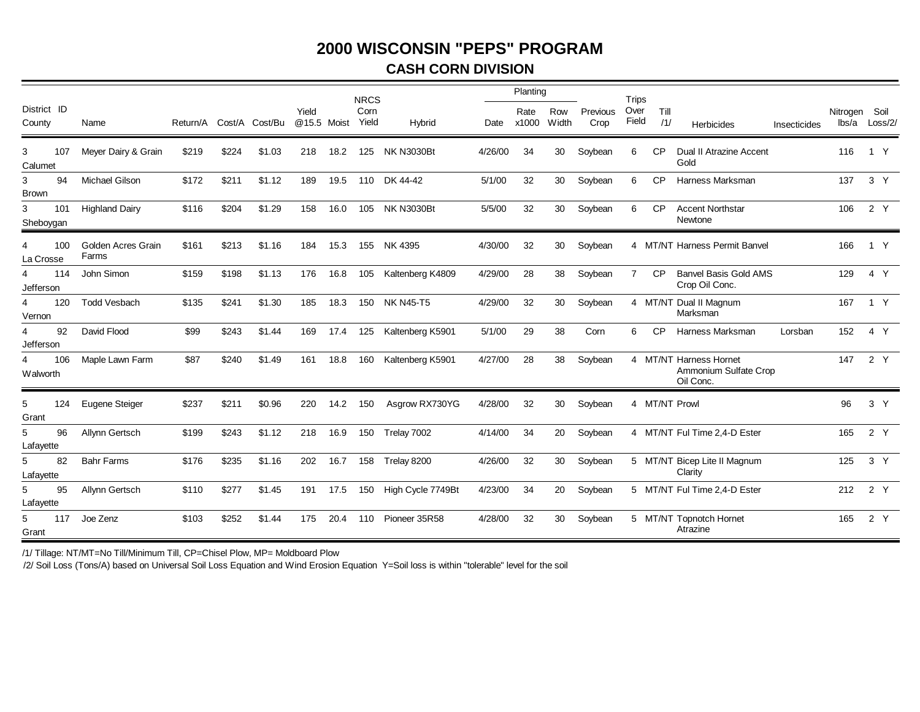#### **CASH CORN DIVISION**

|                       |     |                             |          |       |                |                      |      | <b>NRCS</b>   |                   |         | Planting      |              |                  | <b>Trips</b>  |             |                                                              |              |                        |                |
|-----------------------|-----|-----------------------------|----------|-------|----------------|----------------------|------|---------------|-------------------|---------|---------------|--------------|------------------|---------------|-------------|--------------------------------------------------------------|--------------|------------------------|----------------|
| District ID<br>County |     | Name                        | Return/A |       | Cost/A Cost/Bu | Yield<br>@15.5 Moist |      | Corn<br>Yield | Hybrid            | Date    | Rate<br>x1000 | Row<br>Width | Previous<br>Crop | Over<br>Field | Till<br>/1/ | Herbicides                                                   | Insecticides | Nitrogen Soil<br>lbs/a | Loss/2/        |
| 3<br>Calumet          | 107 | Meyer Dairy & Grain         | \$219    | \$224 | \$1.03         | 218                  | 18.2 | 125           | <b>NK N3030Bt</b> | 4/26/00 | 34            | 30           | Soybean          | 6             | <b>CP</b>   | Dual II Atrazine Accent<br>Gold                              |              | 116                    | 1 Y            |
| 3<br><b>Brown</b>     | 94  | Michael Gilson              | \$172    | \$211 | \$1.12         | 189                  | 19.5 | 110           | DK 44-42          | 5/1/00  | 32            | 30           | Soybean          | 6             | <b>CP</b>   | Harness Marksman                                             |              | 137                    | 3 <sup>Y</sup> |
| 3<br>Sheboygan        | 101 | <b>Highland Dairy</b>       | \$116    | \$204 | \$1.29         | 158                  | 16.0 |               | 105 NK N3030Bt    | 5/5/00  | 32            | 30           | Soybean          | 6             | <b>CP</b>   | <b>Accent Northstar</b><br>Newtone                           |              | 106                    | 2 Y            |
| La Crosse             | 100 | Golden Acres Grain<br>Farms | \$161    | \$213 | \$1.16         | 184                  | 15.3 | 155           | NK 4395           | 4/30/00 | 32            | 30           | Soybean          |               |             | 4 MT/NT Harness Permit Banvel                                |              | 166                    | 1 Y            |
| 4<br>Jefferson        | 114 | John Simon                  | \$159    | \$198 | \$1.13         | 176                  | 16.8 | 105           | Kaltenberg K4809  | 4/29/00 | 28            | 38           | Soybean          | 7             | <b>CP</b>   | <b>Banvel Basis Gold AMS</b><br>Crop Oil Conc.               |              | 129                    | 4 Y            |
| 4<br>Vernon           | 120 | <b>Todd Vesbach</b>         | \$135    | \$241 | \$1.30         | 185                  | 18.3 | 150           | <b>NK N45-T5</b>  | 4/29/00 | 32            | 30           | Soybean          |               |             | 4 MT/NT Dual II Magnum<br>Marksman                           |              | 167                    | 1 Y            |
| 4<br>Jefferson        | 92  | David Flood                 | \$99     | \$243 | \$1.44         | 169                  | 17.4 | 125           | Kaltenberg K5901  | 5/1/00  | 29            | 38           | Corn             | 6             | CP          | Harness Marksman                                             | Lorsban      | 152                    | 4 Y            |
| 4<br>Walworth         | 106 | Maple Lawn Farm             | \$87     | \$240 | \$1.49         | 161                  | 18.8 | 160           | Kaltenberg K5901  | 4/27/00 | 28            | 38           | Soybean          |               |             | 4 MT/NT Harness Hornet<br>Ammonium Sulfate Crop<br>Oil Conc. |              | 147                    | 2Y             |
| 5<br>Grant            | 124 | Eugene Steiger              | \$237    | \$211 | \$0.96         | 220                  | 14.2 | 150           | Asgrow RX730YG    | 4/28/00 | 32            | 30           | Soybean          |               |             | 4 MT/NT Prowl                                                |              | 96                     | 3 <sup>7</sup> |
| 5<br>Lafayette        | 96  | Allynn Gertsch              | \$199    | \$243 | \$1.12         | 218                  | 16.9 | 150           | Trelay 7002       | 4/14/00 | 34            | 20           | Soybean          |               |             | 4 MT/NT Ful Time 2,4-D Ester                                 |              | 165                    | 2 Y            |
| 5<br>Lafayette        | 82  | <b>Bahr Farms</b>           | \$176    | \$235 | \$1.16         | 202                  | 16.7 | 158           | Trelay 8200       | 4/26/00 | 32            | 30           | Soybean          |               |             | 5 MT/NT Bicep Lite II Magnum<br>Clarity                      |              | 125                    | 3 Y            |
| 5<br>Lafayette        | 95  | Allynn Gertsch              | \$110    | \$277 | \$1.45         | 191                  | 17.5 | 150           | High Cycle 7749Bt | 4/23/00 | 34            | 20           | Soybean          |               |             | 5 MT/NT Ful Time 2,4-D Ester                                 |              | 212                    | 2 Y            |
| 5<br>Grant            | 117 | Joe Zenz                    | \$103    | \$252 | \$1.44         | 175                  | 20.4 | 110           | Pioneer 35R58     | 4/28/00 | 32            | 30           | Soybean          |               |             | 5 MT/NT Topnotch Hornet<br>Atrazine                          |              | 165                    | 2 Y            |

/1/ Tillage: NT/MT=No Till/Minimum Till, CP=Chisel Plow, MP= Moldboard Plow

/2/ Soil Loss (Tons/A) based on Universal Soil Loss Equation and Wind Erosion Equation Y=Soil loss is within "tolerable" level for the soil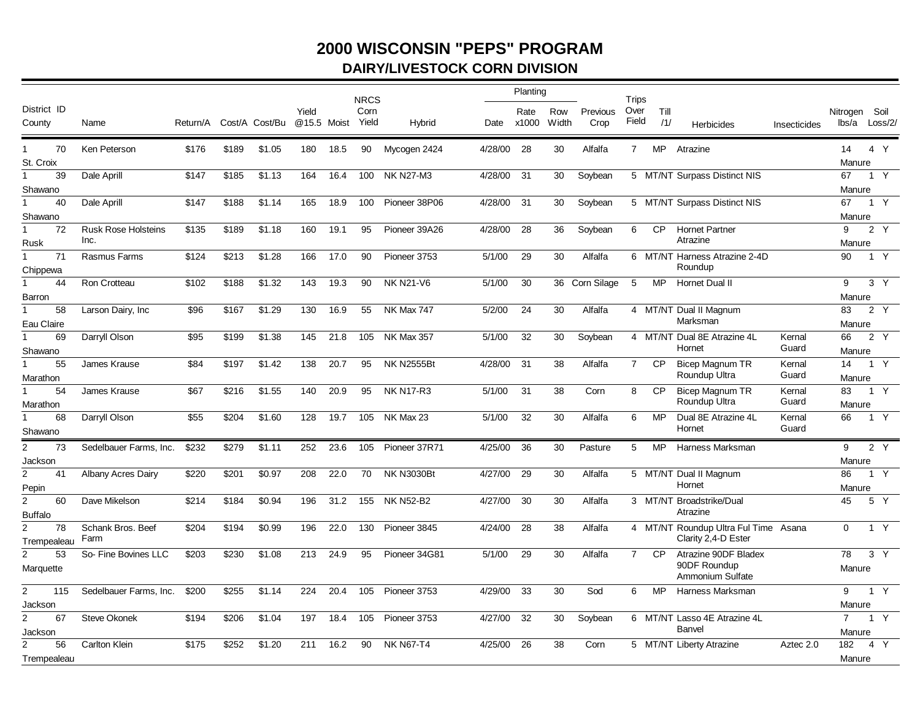## **2000 WISCONSIN "PEPS" PROGRAM DAIRY/LIVESTOCK CORN DIVISION**

|                                          |                                    |          |       |                |                      |      | <b>NRCS</b>   |                   |         | Planting      |              |                  | Trips          |             |                                                             |                 |                          |                 |
|------------------------------------------|------------------------------------|----------|-------|----------------|----------------------|------|---------------|-------------------|---------|---------------|--------------|------------------|----------------|-------------|-------------------------------------------------------------|-----------------|--------------------------|-----------------|
| District ID<br>County                    | Name                               | Return/A |       | Cost/A Cost/Bu | Yield<br>@15.5 Moist |      | Corn<br>Yield | Hybrid            | Date    | Rate<br>x1000 | Row<br>Width | Previous<br>Crop | Over<br>Field  | Till<br>/1/ | <b>Herbicides</b>                                           | Insecticides    | Nitrogen<br>lbs/a        | Soil<br>Loss/2/ |
| 70<br>$\mathbf 1$<br>St. Croix           | Ken Peterson                       | \$176    | \$189 | \$1.05         | 180                  | 18.5 | 90            | Mycogen 2424      | 4/28/00 | 28            | 30           | Alfalfa          | $\overline{7}$ | <b>MP</b>   | Atrazine                                                    |                 | 14<br>Manure             | 4 Y             |
| $\mathbf{1}$<br>39                       | Dale Aprill                        | \$147    | \$185 | \$1.13         | 164                  | 16.4 | 100           | <b>NK N27-M3</b>  | 4/28/00 | 31            | 30           | Soybean          |                |             | 5 MT/NT Surpass Distinct NIS                                |                 | 67                       | 1 Y             |
| Shawano                                  |                                    |          |       |                |                      |      |               |                   |         |               |              |                  |                |             |                                                             |                 | Manure                   |                 |
| 40<br>1                                  | Dale Aprill                        | \$147    | \$188 | \$1.14         | 165                  | 18.9 | 100           | Pioneer 38P06     | 4/28/00 | 31            | 30           | Soybean          |                |             | 5 MT/NT Surpass Distinct NIS                                |                 | 67                       | 1 Y             |
| Shawano                                  |                                    |          |       |                |                      |      |               |                   |         |               |              |                  |                |             |                                                             |                 | Manure                   |                 |
| 72<br>Rusk                               | <b>Rusk Rose Holsteins</b><br>Inc. | \$135    | \$189 | \$1.18         | 160                  | 19.1 | 95            | Pioneer 39A26     | 4/28/00 | 28            | 36           | Soybean          | 6              | CP          | <b>Hornet Partner</b><br>Atrazine                           |                 | 9<br>Manure              | 2Y              |
| 71<br>$\mathbf 1$<br>Chippewa            | Rasmus Farms                       | \$124    | \$213 | \$1.28         | 166                  | 17.0 | 90            | Pioneer 3753      | 5/1/00  | 29            | 30           | Alfalfa          |                |             | 6 MT/NT Harness Atrazine 2-4D<br>Roundup                    |                 | 90                       | 1 Y             |
| 44<br>1<br>Barron                        | <b>Ron Crotteau</b>                | \$102    | \$188 | \$1.32         | 143                  | 19.3 | 90            | <b>NK N21-V6</b>  | 5/1/00  | 30            |              | 36 Corn Silage   | 5              | <b>MP</b>   | Hornet Dual II                                              |                 | 9<br>Manure              | 3 <sup>7</sup>  |
| 58<br>1<br>Eau Claire                    | Larson Dairy, Inc                  | \$96     | \$167 | \$1.29         | 130                  | 16.9 | 55            | <b>NK Max 747</b> | 5/2/00  | 24            | 30           | Alfalfa          |                |             | 4 MT/NT Dual II Magnum<br>Marksman                          |                 | 83<br>Manure             | 2 Y             |
| 69<br>Shawano                            | Darryll Olson                      | \$95     | \$199 | \$1.38         | 145                  | 21.8 | 105           | <b>NK Max 357</b> | 5/1/00  | 32            | 30           | Soybean          |                |             | 4 MT/NT Dual 8E Atrazine 4L<br>Hornet                       | Kernal<br>Guard | 66<br>Manure             | 2Y              |
| 55<br>Marathon                           | James Krause                       | \$84     | \$197 | \$1.42         | 138                  | 20.7 | 95            | <b>NK N2555Bt</b> | 4/28/00 | 31            | 38           | Alfalfa          | $\overline{7}$ | <b>CP</b>   | <b>Bicep Magnum TR</b><br>Roundup Ultra                     | Kernal<br>Guard | 14<br>Manure             | 1 Y             |
| 54<br>Marathon                           | James Krause                       | \$67     | \$216 | \$1.55         | 140                  | 20.9 | 95            | <b>NK N17-R3</b>  | 5/1/00  | 31            | 38           | Corn             | 8              | <b>CP</b>   | Bicep Magnum TR<br>Roundup Ultra                            | Kernal<br>Guard | 83<br>Manure             | 1 Y             |
| 68<br>Shawano                            | Darryll Olson                      | \$55     | \$204 | \$1.60         | 128                  | 19.7 | 105           | NK Max 23         | 5/1/00  | 32            | 30           | Alfalfa          | 6              | MP          | Dual 8E Atrazine 4L<br>Hornet                               | Kernal<br>Guard | 66                       | 1 Y             |
| $\overline{2}$<br>73                     | Sedelbauer Farms, Inc.             | \$232    | \$279 | \$1.11         | 252                  | 23.6 | 105           | Pioneer 37R71     | 4/25/00 | 36            | 30           | Pasture          | 5              | <b>MP</b>   | Harness Marksman                                            |                 | 9                        | 2Y              |
| Jackson<br>$\overline{2}$<br>41<br>Pepin | <b>Albany Acres Dairy</b>          | \$220    | \$201 | \$0.97         | 208                  | 22.0 | 70            | <b>NK N3030Bt</b> | 4/27/00 | 29            | 30           | Alfalfa          |                |             | 5 MT/NT Dual II Magnum<br>Hornet                            |                 | Manure<br>86<br>Manure   | 1 Y             |
| $\overline{2}$<br>60<br><b>Buffalo</b>   | Dave Mikelson                      | \$214    | \$184 | \$0.94         | 196                  | 31.2 | 155           | <b>NK N52-B2</b>  | 4/27/00 | 30            | 30           | Alfalfa          |                |             | 3 MT/NT Broadstrike/Dual<br>Atrazine                        |                 | 45                       | 5 Y             |
| $\overline{2}$<br>78<br>Trempealeau      | Schank Bros. Beef<br>Farm          | \$204    | \$194 | \$0.99         | 196                  | 22.0 | 130           | Pioneer 3845      | 4/24/00 | 28            | 38           | Alfalfa          |                |             | 4 MT/NT Roundup Ultra Ful Time Asana<br>Clarity 2,4-D Ester |                 | $\mathbf 0$              | 1 Y             |
| 53<br>$\overline{2}$<br>Marquette        | So- Fine Bovines LLC               | \$203    | \$230 | \$1.08         | 213                  | 24.9 | 95            | Pioneer 34G81     | 5/1/00  | 29            | 30           | Alfalfa          | $\overline{7}$ | <b>CP</b>   | Atrazine 90DF Bladex<br>90DF Roundup<br>Ammonium Sulfate    |                 | 78<br>Manure             | 3 <sup>Y</sup>  |
| $\overline{2}$<br>115                    | Sedelbauer Farms, Inc.             | \$200    | \$255 | \$1.14         | 224                  | 20.4 | 105           | Pioneer 3753      | 4/29/00 | 33            | 30           | Sod              | 6              | <b>MP</b>   | Harness Marksman                                            |                 | 9                        | 1 Y             |
| Jackson<br>2<br>67                       | <b>Steve Okonek</b>                | \$194    | \$206 | \$1.04         | 197                  | 18.4 | 105           | Pioneer 3753      | 4/27/00 | 32            | 30           | Soybean          |                |             | 6 MT/NT Lasso 4E Atrazine 4L<br>Banvel                      |                 | Manure<br>$\overline{7}$ | 1 Y             |
| Jackson<br>56<br>Trempealeau             | Carlton Klein                      | \$175    | \$252 | \$1.20         | 211                  | 16.2 | 90            | <b>NK N67-T4</b>  | 4/25/00 | 26            | 38           | Corn             |                |             | 5 MT/NT Liberty Atrazine                                    | Aztec 2.0       | Manure<br>182<br>Manure  | 4 Y             |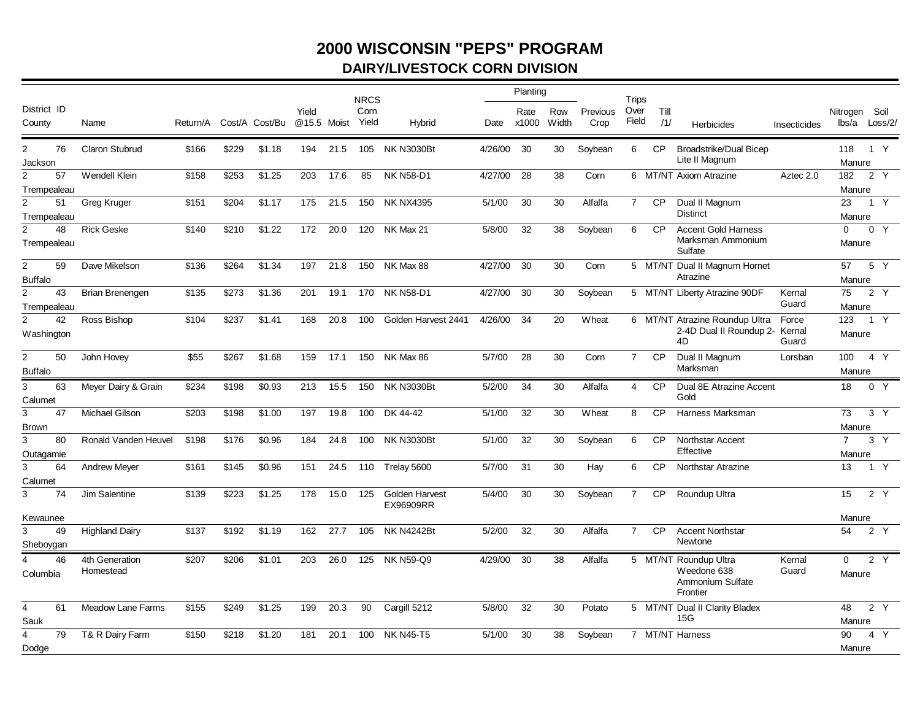## **2000 WISCONSIN "PEPS" PROGRAM DAIRY/LIVESTOCK CORN DIVISION**

|                               |    |                             |          |       |                |       |             | <b>NRCS</b>   |                                    |         | Planting      |              |                  | Trips          |             |                                                                      |                 |                    |                  |
|-------------------------------|----|-----------------------------|----------|-------|----------------|-------|-------------|---------------|------------------------------------|---------|---------------|--------------|------------------|----------------|-------------|----------------------------------------------------------------------|-----------------|--------------------|------------------|
| District ID<br>County         |    | Name                        | Return/A |       | Cost/A Cost/Bu | Yield | @15.5 Moist | Corn<br>Yield | Hybrid                             | Date    | Rate<br>x1000 | Row<br>Width | Previous<br>Crop | Over<br>Field  | Till<br>/1/ | <b>Herbicides</b>                                                    | Insecticides    | Nitrogen Soil      | lbs/a Loss/2/    |
| $\overline{2}$<br>Jackson     | 76 | <b>Claron Stubrud</b>       | \$166    | \$229 | \$1.18         | 194   | 21.5        |               | 105 NK N3030Bt                     | 4/26/00 | 30            | 30           | Soybean          | 6              | <b>CP</b>   | <b>Broadstrike/Dual Bicep</b><br>Lite II Magnum                      |                 | 118<br>Manure      | 1 Y              |
| 2                             | 57 | Wendell Klein               | \$158    | \$253 | \$1.25         | 203   | 17.6        | 85            | <b>NK N58-D1</b>                   | 4/27/00 | 28            | 38           | Corn             |                |             | 6 MT/NT Axiom Atrazine                                               | Aztec 2.0       | 182                | 2 Y              |
| Trempealeau                   |    |                             |          |       |                |       |             |               |                                    |         |               |              |                  |                |             |                                                                      |                 | Manure             |                  |
| $\overline{2}$<br>Trempealeau | 51 | <b>Greg Kruger</b>          | \$151    | \$204 | \$1.17         | 175   | 21.5        | 150           | <b>NK NX4395</b>                   | 5/1/00  | 30            | 30           | Alfalfa          | $\overline{7}$ | <b>CP</b>   | Dual II Magnum<br><b>Distinct</b>                                    |                 | 23<br>Manure       | 1 Y              |
| 2                             | 48 | <b>Rick Geske</b>           | \$140    | \$210 | \$1.22         | 172   | 20.0        | 120           | NK Max 21                          | 5/8/00  | 32            | 38           | Soybean          | 6              | <b>CP</b>   | <b>Accent Gold Harness</b>                                           |                 | $\mathbf 0$        | 0 Y              |
| Trempealeau                   |    |                             |          |       |                |       |             |               |                                    |         |               |              |                  |                |             | Marksman Ammonium<br>Sulfate                                         |                 | Manure             |                  |
| $\overline{2}$                | 59 | Dave Mikelson               | \$136    | \$264 | \$1.34         | 197   | 21.8        | 150           | NK Max 88                          | 4/27/00 | 30            | 30           | Corn             |                |             | 5 MT/NT Dual II Magnum Hornet                                        |                 | 57                 | 5 Y              |
| <b>Buffalo</b>                |    |                             |          |       |                |       |             |               |                                    |         |               |              |                  |                |             | Atrazine                                                             |                 | Manure             |                  |
| $\overline{2}$                | 43 | <b>Brian Brenengen</b>      | \$135    | \$273 | \$1.36         | 201   | 19.1        |               | 170 NK N58-D1                      | 4/27/00 | 30            | 30           | Soybean          |                |             | 5 MT/NT Liberty Atrazine 90DF                                        | Kernal          | 75                 | 2 Y              |
| Trempealeau                   |    |                             |          |       |                |       |             |               |                                    |         |               |              |                  |                |             |                                                                      | Guard           | Manure             |                  |
| $\overline{2}$                | 42 | Ross Bishop                 | \$104    | \$237 | \$1.41         | 168   | 20.8        | 100           | Golden Harvest 2441                | 4/26/00 | 34            | 20           | Wheat            |                |             | 6 MT/NT Atrazine Roundup Ultra                                       | Force           | 123                | 1 Y              |
| Washington                    |    |                             |          |       |                |       |             |               |                                    |         |               |              |                  |                |             | 2-4D Dual II Roundup 2-<br>4D                                        | Kernal<br>Guard | Manure             |                  |
| $\overline{2}$                | 50 | John Hovey                  | \$55     | \$267 | \$1.68         | 159   | 17.1        | 150           | NK Max 86                          | 5/7/00  | 28            | 30           | Corn             | $\overline{7}$ | <b>CP</b>   | Dual II Magnum                                                       | Lorsban         | 100                | 4 Y              |
| <b>Buffalo</b>                |    |                             |          |       |                |       |             |               |                                    |         |               |              |                  |                |             | Marksman                                                             |                 | Manure             |                  |
| 3<br>Calumet                  | 63 | Meyer Dairy & Grain         | \$234    | \$198 | \$0.93         | 213   | 15.5        | 150           | <b>NK N3030Bt</b>                  | 5/2/00  | 34            | 30           | Alfalfa          | $\overline{4}$ | <b>CP</b>   | Dual 8E Atrazine Accent<br>Gold                                      |                 | 18                 | 0 Y              |
| 3                             | 47 | Michael Gilson              | \$203    | \$198 | \$1.00         | 197   | 19.8        | 100           | DK 44-42                           | 5/1/00  | 32            | 30           | Wheat            | 8              | <b>CP</b>   | Harness Marksman                                                     |                 | 73                 | 3 <sup>Y</sup>   |
| <b>Brown</b>                  |    |                             |          |       |                |       |             |               |                                    |         |               |              |                  |                |             |                                                                      |                 | Manure             |                  |
| 3                             | 80 | Ronald Vanden Heuvel        | \$198    | \$176 | \$0.96         | 184   | 24.8        | 100           | <b>NK N3030Bt</b>                  | 5/1/00  | 32            | 30           | Soybean          | 6              | <b>CP</b>   | Northstar Accent                                                     |                 | $\overline{7}$     | 3Y               |
| Outagamie                     |    |                             |          |       |                |       |             |               |                                    |         |               |              |                  |                |             | Effective                                                            |                 | Manure             |                  |
| 3<br>Calumet                  | 64 | <b>Andrew Meyer</b>         | \$161    | \$145 | \$0.96         | 151   | 24.5        |               | 110 Trelay 5600                    | 5/7/00  | 31            | 30           | Hay              | 6              | <b>CP</b>   | <b>Northstar Atrazine</b>                                            |                 | 13                 | 1 Y              |
| 3                             | 74 | Jim Salentine               | \$139    | \$223 | \$1.25         | 178   | 15.0        | 125           | Golden Harvest<br><b>EX96909RR</b> | 5/4/00  | 30            | 30           | Soybean          | $\overline{7}$ | <b>CP</b>   | Roundup Ultra                                                        |                 | 15                 | 2 Y              |
| Kewaunee                      |    |                             |          |       |                |       |             |               |                                    |         |               |              |                  |                |             |                                                                      |                 | Manure             |                  |
| 3                             | 49 | <b>Highland Dairy</b>       | \$137    | \$192 | \$1.19         | 162   | 27.7        | 105           | <b>NK N4242Bt</b>                  | 5/2/00  | 32            | 30           | Alfalfa          | $\overline{7}$ | <b>CP</b>   | <b>Accent Northstar</b>                                              |                 | 54                 | 2Y               |
| Sheboygan                     |    |                             |          |       |                |       |             |               |                                    |         |               |              |                  |                |             | Newtone                                                              |                 |                    |                  |
| Columbia                      | 46 | 4th Generation<br>Homestead | \$207    | \$206 | \$1.01         | 203   | 26.0        |               | 125 NK N59-Q9                      | 4/29/00 | 30            | 38           | Alfalfa          |                |             | 5 MT/NT Roundup Ultra<br>Weedone 638<br>Ammonium Sulfate<br>Frontier | Kernal<br>Guard | $\Omega$<br>Manure | $2\overline{Y}$  |
| 4<br>Sauk                     | 61 | <b>Meadow Lane Farms</b>    | \$155    | \$249 | \$1.25         | 199   | 20.3        | 90            | Cargill 5212                       | 5/8/00  | 32            | 30           | Potato           |                |             | 5 MT/NT Dual II Clarity Bladex<br>15G                                |                 | 48<br>Manure       | 2 $\overline{Y}$ |
| 4<br>Dodge                    | 79 | T& R Dairy Farm             | \$150    | \$218 | \$1.20         | 181   | 20.1        | 100           | <b>NK N45-T5</b>                   | 5/1/00  | 30            | 38           | Soybean          |                |             | 7 MT/NT Harness                                                      |                 | 90<br>Manure       | 4 Y              |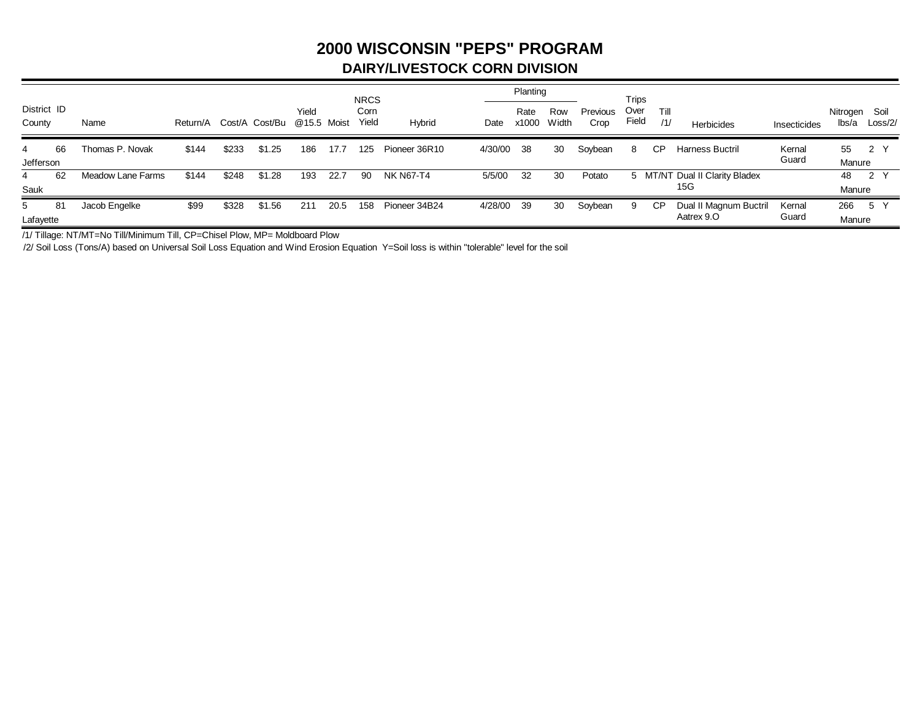## **2000 WISCONSIN "PEPS" PROGRAM DAIRY/LIVESTOCK CORN DIVISION**

|                       |    |                   |          |       |                |                      |      | <b>NRCS</b>   |               |         | Planting      |              |                  | Trips         |             |                                |                 |                   |                 |
|-----------------------|----|-------------------|----------|-------|----------------|----------------------|------|---------------|---------------|---------|---------------|--------------|------------------|---------------|-------------|--------------------------------|-----------------|-------------------|-----------------|
| District ID<br>County |    | Name              | Return/A |       | Cost/A Cost/Bu | Yield<br>@15.5 Moist |      | Corn<br>Yield | Hybrid        | Date    | Rate<br>x1000 | Row<br>Width | Previous<br>Crop | Over<br>Field | Till<br>/1/ | Herbicides                     | Insecticides    | Nitrogen<br>lbs/a | Soil<br>Loss/2/ |
| 4                     | 66 | Thomas P. Novak   | \$144    | \$233 | \$1.25         | 186                  | 17.7 | 125           | Pioneer 36R10 | 4/30/00 | -38           | 30           | Soybean          | 8             | CP          | Harness Buctril                | Kernal<br>Guard | 55                | 2 Y             |
| Jefferson             |    |                   |          |       |                |                      |      |               |               |         |               |              |                  |               |             |                                |                 | Manure            |                 |
| 4                     | 62 | Meadow Lane Farms | \$144    | \$248 | \$1.28         | 193                  | 22.7 | 90            | NK N67-T4     | 5/5/00  | 32            | 30           | Potato           |               |             | 5 MT/NT Dual II Clarity Bladex |                 | 48                | 2 Y             |
| Sauk                  |    |                   |          |       |                |                      |      |               |               |         |               |              |                  |               |             | 15G                            |                 | Manure            |                 |
| 5                     | 81 | Jacob Engelke     | \$99     | \$328 | \$1.56         | 211                  | 20.5 | 158           | Pioneer 34B24 | 4/28/00 | 39            | 30           | Soybean          | 9             | СP          | Dual II Magnum Buctril         | Kernal          | 266               | 5 Y             |
| Lafayette             |    |                   |          |       |                |                      |      |               |               |         |               |              |                  |               |             | Aatrex 9.O                     | Guard           | Manure            |                 |

/1/ Tillage: NT/MT=No Till/Minimum Till, CP=Chisel Plow, MP= Moldboard Plow

/2/ Soil Loss (Tons/A) based on Universal Soil Loss Equation and Wind Erosion Equation Y=Soil loss is within "tolerable" level for the soil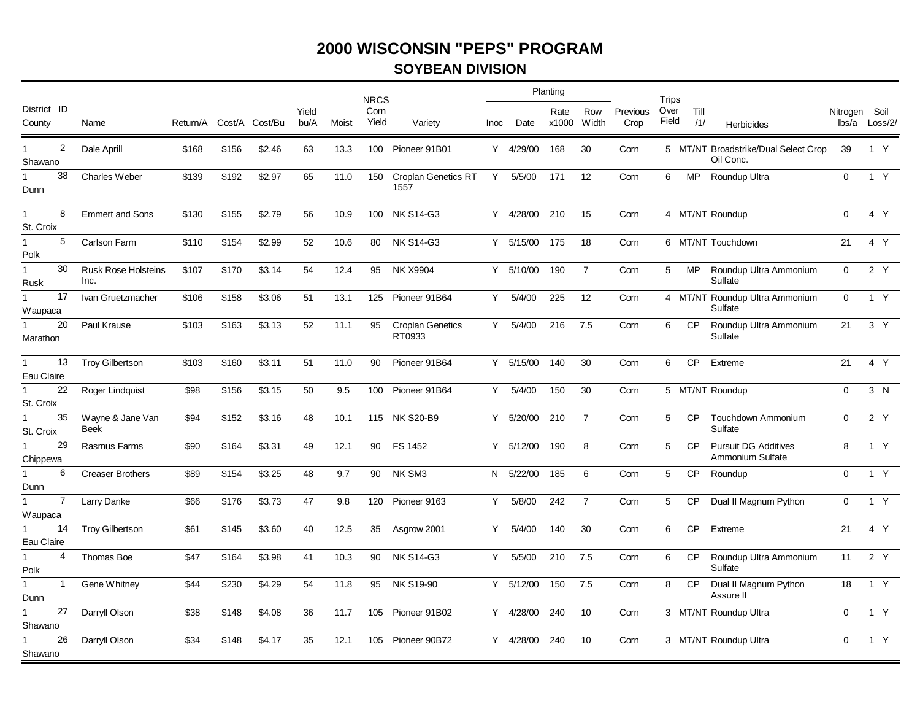#### **SOYBEAN DIVISION**

|                            |                |                                    |          |       |                |               |       | <b>NRCS</b>   |                                   |      |           | Planting      |                |                  | Trips         |             |                                                   |               |               |
|----------------------------|----------------|------------------------------------|----------|-------|----------------|---------------|-------|---------------|-----------------------------------|------|-----------|---------------|----------------|------------------|---------------|-------------|---------------------------------------------------|---------------|---------------|
| District ID<br>County      |                | Name                               | Return/A |       | Cost/A Cost/Bu | Yield<br>bu/A | Moist | Corn<br>Yield | Variety                           | Inoc | Date      | Rate<br>x1000 | Row<br>Width   | Previous<br>Crop | Over<br>Field | Till<br>/1/ | <b>Herbicides</b>                                 | Nitrogen Soil | lbs/a Loss/2/ |
| $\mathbf{1}$<br>Shawano    | 2              | Dale Aprill                        | \$168    | \$156 | \$2.46         | 63            | 13.3  |               | 100 Pioneer 91B01                 |      | Y 4/29/00 | 168           | 30             | Corn             |               |             | 5 MT/NT Broadstrike/Dual Select Crop<br>Oil Conc. | 39            | 1 Y           |
| Dunn                       | 38             | Charles Weber                      | \$139    | \$192 | \$2.97         | 65            | 11.0  | 150           | Croplan Genetics RT<br>1557       | Y    | 5/5/00    | 171           | 12             | Corn             | 6             | <b>MP</b>   | Roundup Ultra                                     | $\mathbf 0$   | 1 Y           |
| $\mathbf{1}$<br>St. Croix  | 8              | <b>Emmert and Sons</b>             | \$130    | \$155 | \$2.79         | 56            | 10.9  | 100           | <b>NK S14-G3</b>                  | Y    | 4/28/00   | 210           | 15             | Corn             |               |             | 4 MT/NT Roundup                                   | $\mathbf 0$   | 4 Y           |
| $\mathbf{1}$<br>Polk       | 5              | Carlson Farm                       | \$110    | \$154 | \$2.99         | 52            | 10.6  | 80            | <b>NK S14-G3</b>                  | Y    | 5/15/00   | 175           | 18             | Corn             |               |             | 6 MT/NT Touchdown                                 | 21            | 4 Y           |
| $\mathbf{1}$<br>Rusk       | 30             | <b>Rusk Rose Holsteins</b><br>Inc. | \$107    | \$170 | \$3.14         | 54            | 12.4  | 95            | <b>NK X9904</b>                   | Y    | 5/10/00   | 190           | $\overline{7}$ | Corn             | 5             | <b>MP</b>   | Roundup Ultra Ammonium<br>Sulfate                 | $\mathbf 0$   | 2 Y           |
| $\mathbf{1}$<br>Waupaca    | 17             | Ivan Gruetzmacher                  | \$106    | \$158 | \$3.06         | 51            | 13.1  | 125           | Pioneer 91B64                     | Y    | 5/4/00    | 225           | 12             | Corn             |               |             | 4 MT/NT Roundup Ultra Ammonium<br>Sulfate         | $\mathbf 0$   | 1 Y           |
| $\mathbf{1}$<br>Marathon   | 20             | Paul Krause                        | \$103    | \$163 | \$3.13         | 52            | 11.1  | 95            | <b>Croplan Genetics</b><br>RT0933 | Y    | 5/4/00    | 216           | 7.5            | Corn             | 6             | <b>CP</b>   | Roundup Ultra Ammonium<br>Sulfate                 | 21            | 3Y            |
| $\mathbf{1}$<br>Eau Claire | 13             | <b>Troy Gilbertson</b>             | \$103    | \$160 | \$3.11         | 51            | 11.0  | 90            | Pioneer 91B64                     | Y    | 5/15/00   | 140           | 30             | Corn             | 6             | <b>CP</b>   | Extreme                                           | 21            | 4 Y           |
| $\mathbf{1}$<br>St. Croix  | 22             | Roger Lindquist                    | \$98     | \$156 | \$3.15         | 50            | 9.5   | 100           | Pioneer 91B64                     | Y    | 5/4/00    | 150           | 30             | Corn             |               |             | 5 MT/NT Roundup                                   | $\mathbf 0$   | 3 N           |
| St. Croix                  | 35             | Wayne & Jane Van<br><b>Beek</b>    | \$94     | \$152 | \$3.16         | 48            | 10.1  |               | 115 NK S20-B9                     |      | Y 5/20/00 | 210           | $\overline{7}$ | Corn             | $5^{\circ}$   | <b>CP</b>   | <b>Touchdown Ammonium</b><br>Sulfate              | $\Omega$      | 2Y            |
| $\mathbf{1}$<br>Chippewa   | 29             | Rasmus Farms                       | \$90     | \$164 | \$3.31         | 49            | 12.1  | 90            | FS 1452                           | Y    | 5/12/00   | 190           | 8              | Corn             | 5             | <b>CP</b>   | <b>Pursuit DG Additives</b><br>Ammonium Sulfate   | 8             | 1 Y           |
| Dunn                       | 6              | <b>Creaser Brothers</b>            | \$89     | \$154 | \$3.25         | 48            | 9.7   | 90            | NK SM3                            |      | N 5/22/00 | 185           | 6              | Corn             | 5             | <b>CP</b>   | Roundup                                           | $\mathbf 0$   | 1 Y           |
| $\mathbf{1}$<br>Waupaca    | $\overline{7}$ | Larry Danke                        | \$66     | \$176 | \$3.73         | 47            | 9.8   | 120           | Pioneer 9163                      | Y    | 5/8/00    | 242           | $\overline{7}$ | Corn             | $5^{\circ}$   | <b>CP</b>   | Dual II Magnum Python                             | $\mathbf 0$   | 1 Y           |
| $\mathbf{1}$<br>Eau Claire | 14             | <b>Troy Gilbertson</b>             | \$61     | \$145 | \$3.60         | 40            | 12.5  | 35            | Asgrow 2001                       | Y    | 5/4/00    | 140           | 30             | Corn             | 6             | <b>CP</b>   | Extreme                                           | 21            | 4 Y           |
| $\mathbf{1}$<br>Polk       | $\overline{4}$ | Thomas Boe                         | \$47     | \$164 | \$3.98         | 41            | 10.3  | 90            | <b>NK S14-G3</b>                  | Y    | 5/5/00    | 210           | 7.5            | Corn             | 6             | CP          | Roundup Ultra Ammonium<br>Sulfate                 | 11            | 2 Y           |
| $\mathbf{1}$<br>Dunn       | $\mathbf{1}$   | Gene Whitney                       | \$44     | \$230 | \$4.29         | 54            | 11.8  | 95            | <b>NK S19-90</b>                  | Y    | 5/12/00   | 150           | 7.5            | Corn             | 8             | <b>CP</b>   | Dual II Magnum Python<br>Assure II                | 18            | 1 Y           |
| $\mathbf{1}$<br>Shawano    | 27             | Darryll Olson                      | \$38     | \$148 | \$4.08         | 36            | 11.7  |               | 105 Pioneer 91B02                 | Y    | 4/28/00   | 240           | 10             | Corn             |               |             | 3 MT/NT Roundup Ultra                             | $\Omega$      | 1 Y           |
| Shawano                    | 26             | Darryll Olson                      | \$34     | \$148 | \$4.17         | 35            | 12.1  | 105           | Pioneer 90B72                     | Y    | 4/28/00   | 240           | 10             | Corn             |               |             | 3 MT/NT Roundup Ultra                             | $\Omega$      | 1 Y           |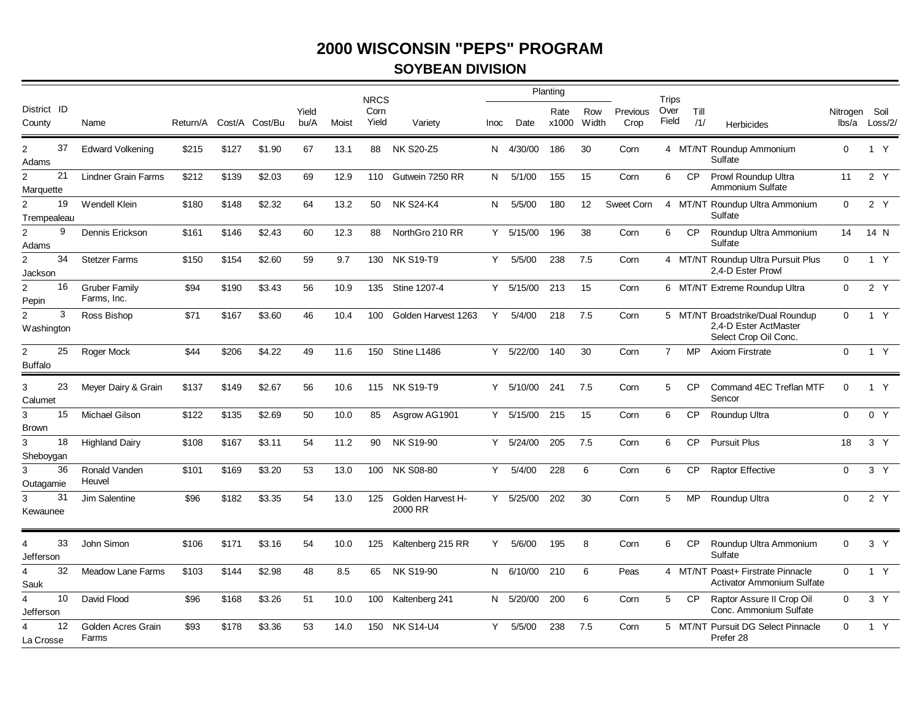#### **SOYBEAN DIVISION**

|                                  |    |                                     |                         |       |        |               |       | <b>NRCS</b>   |                              |      |           | Planting      |              |                  | Trips          |             |                                                                                    |                        |                |
|----------------------------------|----|-------------------------------------|-------------------------|-------|--------|---------------|-------|---------------|------------------------------|------|-----------|---------------|--------------|------------------|----------------|-------------|------------------------------------------------------------------------------------|------------------------|----------------|
| District ID<br>County            |    | Name                                | Return/A Cost/A Cost/Bu |       |        | Yield<br>bu/A | Moist | Corn<br>Yield | Variety                      | Inoc | Date      | Rate<br>x1000 | Row<br>Width | Previous<br>Crop | Over<br>Field  | Till<br>/1/ | <b>Herbicides</b>                                                                  | Nitrogen Soil<br>lbs/a | Loss/2/        |
| $\overline{2}$<br>Adams          | 37 | <b>Edward Volkening</b>             | \$215                   | \$127 | \$1.90 | 67            | 13.1  | 88            | <b>NK S20-Z5</b>             | N.   | 4/30/00   | 186           | 30           | Corn             |                |             | 4 MT/NT Roundup Ammonium<br>Sulfate                                                | $\overline{0}$         | 1 Y            |
| $\overline{2}$<br>Marquette      | 21 | Lindner Grain Farms                 | \$212                   | \$139 | \$2.03 | 69            | 12.9  | 110           | Gutwein 7250 RR              | N.   | 5/1/00    | 155           | 15           | Corn             | 6              | <b>CP</b>   | Prowl Roundup Ultra<br>Ammonium Sulfate                                            | 11                     | 2 Y            |
| $\overline{2}$<br>Trempealeau    | 19 | Wendell Klein                       | \$180                   | \$148 | \$2.32 | 64            | 13.2  | 50            | <b>NK S24-K4</b>             | N.   | 5/5/00    | 180           | 12           | Sweet Corn       |                |             | 4 MT/NT Roundup Ultra Ammonium<br>Sulfate                                          | $\mathbf 0$            | 2 Y            |
| $\overline{2}$<br>Adams          | 9  | Dennis Erickson                     | \$161                   | \$146 | \$2.43 | 60            | 12.3  | 88            | NorthGro 210 RR              |      | Y 5/15/00 | 196           | 38           | Corn             | 6              | <b>CP</b>   | Roundup Ultra Ammonium<br>Sulfate                                                  | 14                     | 14 N           |
| $\overline{2}$<br>Jackson        | 34 | <b>Stetzer Farms</b>                | \$150                   | \$154 | \$2.60 | 59            | 9.7   |               | 130 NK S19-T9                | Y    | 5/5/00    | 238           | 7.5          | Corn             |                |             | 4 MT/NT Roundup Ultra Pursuit Plus<br>2.4-D Ester Prowl                            | $\mathbf 0$            | 1 Y            |
| $\overline{2}$<br>Pepin          | 16 | <b>Gruber Family</b><br>Farms, Inc. | \$94                    | \$190 | \$3.43 | 56            | 10.9  | 135           | Stine 1207-4                 | Y    | 5/15/00   | 213           | 15           | Corn             |                |             | 6 MT/NT Extreme Roundup Ultra                                                      | $\Omega$               | 2 Y            |
| $\overline{2}$<br>Washington     | 3  | Ross Bishop                         | \$71                    | \$167 | \$3.60 | 46            | 10.4  | 100           | Golden Harvest 1263          | Y    | 5/4/00    | 218           | 7.5          | Corn             |                |             | 5 MT/NT Broadstrike/Dual Roundup<br>2,4-D Ester ActMaster<br>Select Crop Oil Conc. | $\Omega$               | 1 Y            |
| $\overline{2}$<br><b>Buffalo</b> | 25 | Roger Mock                          | \$44                    | \$206 | \$4.22 | 49            | 11.6  | 150           | Stine L1486                  | Y.   | 5/22/00   | 140           | 30           | Corn             | $\overline{7}$ | <b>MP</b>   | <b>Axiom Firstrate</b>                                                             | $\Omega$               | 1 Y            |
| 3<br>Calumet                     | 23 | Meyer Dairy & Grain                 | \$137                   | \$149 | \$2.67 | 56            | 10.6  | 115           | <b>NK S19-T9</b>             | Y    | 5/10/00   | 241           | 7.5          | Corn             | 5              | <b>CP</b>   | Command 4EC Treflan MTF<br>Sencor                                                  | $\Omega$               | 1 Y            |
| 3<br><b>Brown</b>                | 15 | <b>Michael Gilson</b>               | \$122                   | \$135 | \$2.69 | 50            | 10.0  | 85            | Asgrow AG1901                | Y    | 5/15/00   | 215           | 15           | Corn             | 6              | <b>CP</b>   | Roundup Ultra                                                                      | $\mathbf 0$            | 0 Y            |
| 3<br>Sheboygan                   | 18 | <b>Highland Dairy</b>               | \$108                   | \$167 | \$3.11 | 54            | 11.2  | 90            | <b>NK S19-90</b>             |      | Y 5/24/00 | 205           | 7.5          | Corn             | 6              | <b>CP</b>   | <b>Pursuit Plus</b>                                                                | 18                     | 3 <sup>Y</sup> |
| 3<br>Outagamie                   | 36 | Ronald Vanden<br>Heuvel             | \$101                   | \$169 | \$3.20 | 53            | 13.0  | 100           | <b>NK S08-80</b>             | Y    | 5/4/00    | 228           | 6            | Corn             | 6              | <b>CP</b>   | <b>Raptor Effective</b>                                                            | $\mathbf 0$            | 3 Y            |
| 3<br>Kewaunee                    | 31 | Jim Salentine                       | \$96                    | \$182 | \$3.35 | 54            | 13.0  | 125           | Golden Harvest H-<br>2000 RR | Y    | 5/25/00   | 202           | 30           | Corn             | 5              | <b>MP</b>   | Roundup Ultra                                                                      | $\Omega$               | 2Y             |
| 4<br>Jefferson                   | 33 | John Simon                          | \$106                   | \$171 | \$3.16 | 54            | 10.0  | 125           | Kaltenberg 215 RR            | Y    | 5/6/00    | 195           | 8            | Corn             | 6              | <b>CP</b>   | Roundup Ultra Ammonium<br>Sulfate                                                  | $\mathbf 0$            | 3 Y            |
| 4<br>Sauk                        | 32 | <b>Meadow Lane Farms</b>            | \$103                   | \$144 | \$2.98 | 48            | 8.5   | 65            | NK S19-90                    |      | N 6/10/00 | 210           | 6            | Peas             |                |             | 4 MT/NT Poast+ Firstrate Pinnacle<br>Activator Ammonium Sulfate                    | $\Omega$               | 1 Y            |
| $\overline{4}$<br>Jefferson      | 10 | David Flood                         | \$96                    | \$168 | \$3.26 | 51            | 10.0  | 100           | Kaltenberg 241               | N.   | 5/20/00   | 200           | 6            | Corn             | 5              | <b>CP</b>   | Raptor Assure II Crop Oil<br>Conc. Ammonium Sulfate                                | $\mathbf 0$            | 3 <sup>Y</sup> |
| La Crosse                        | 12 | Golden Acres Grain<br>Farms         | \$93                    | \$178 | \$3.36 | 53            | 14.0  | 150           | <b>NK S14-U4</b>             | Y    | 5/5/00    | 238           | 7.5          | Corn             |                |             | 5 MT/NT Pursuit DG Select Pinnacle<br>Prefer 28                                    | $\Omega$               | 1 Y            |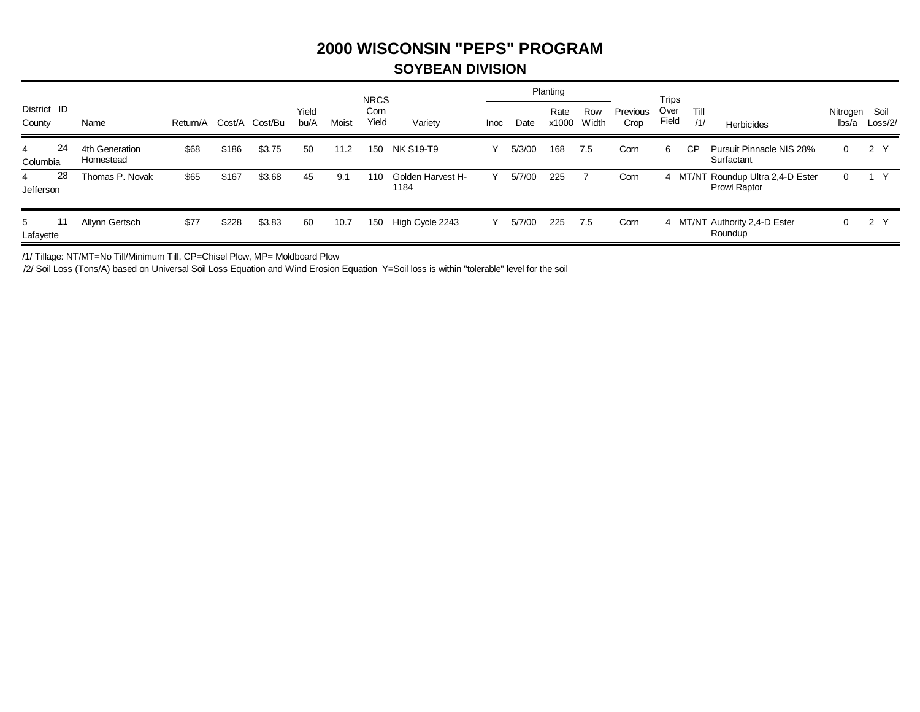#### **SOYBEAN DIVISION**

|                       |    |                             |          |        |         |               |       | <b>NRCS</b>   |                           |             |        | Planting      |              |                  | Trips         |             |                                                   |                   |                 |
|-----------------------|----|-----------------------------|----------|--------|---------|---------------|-------|---------------|---------------------------|-------------|--------|---------------|--------------|------------------|---------------|-------------|---------------------------------------------------|-------------------|-----------------|
| District ID<br>County |    | Name                        | Return/A | Cost/A | Cost/Bu | Yield<br>bu/A | Moist | Corn<br>Yield | Variety                   | <b>Inoc</b> | Date   | Rate<br>x1000 | Row<br>Width | Previous<br>Crop | Over<br>Field | Till<br>/1/ | Herbicides                                        | Nitrogen<br>lbs/a | Soil<br>Loss/2/ |
| 4<br>Columbia         | 24 | 4th Generation<br>Homestead | \$68     | \$186  | \$3.75  | 50            | 11.2  | 150           | NK S19-T9                 |             | 5/3/00 | 168           | 7.5          | Corn             | 6             | СP          | Pursuit Pinnacle NIS 28%<br>Surfactant            | $\mathbf{0}$      | 2 Y             |
| 4<br>Jefferson        | 28 | Thomas P. Novak             | \$65     | \$167  | \$3.68  | 45            | 9.1   | 110           | Golden Harvest H-<br>1184 |             | 5/7/00 | 225           |              | Corn             |               |             | 4 MT/NT Roundup Ultra 2,4-D Ester<br>Prowl Raptor | $\Omega$          |                 |
| 5<br>Lafayette        |    | Allynn Gertsch              | \$77     | \$228  | \$3.83  | 60            | 10.7  | 150           | High Cycle 2243           |             | 5/7/00 | 225           | 7.5          | Corn             |               |             | 4 MT/NT Authority 2,4-D Ester<br>Roundup          | 0                 | 2 Y             |

/1/ Tillage: NT/MT=No Till/Minimum Till, CP=Chisel Plow, MP= Moldboard Plow

/2/ Soil Loss (Tons/A) based on Universal Soil Loss Equation and Wind Erosion Equation Y=Soil loss is within "tolerable" level for the soil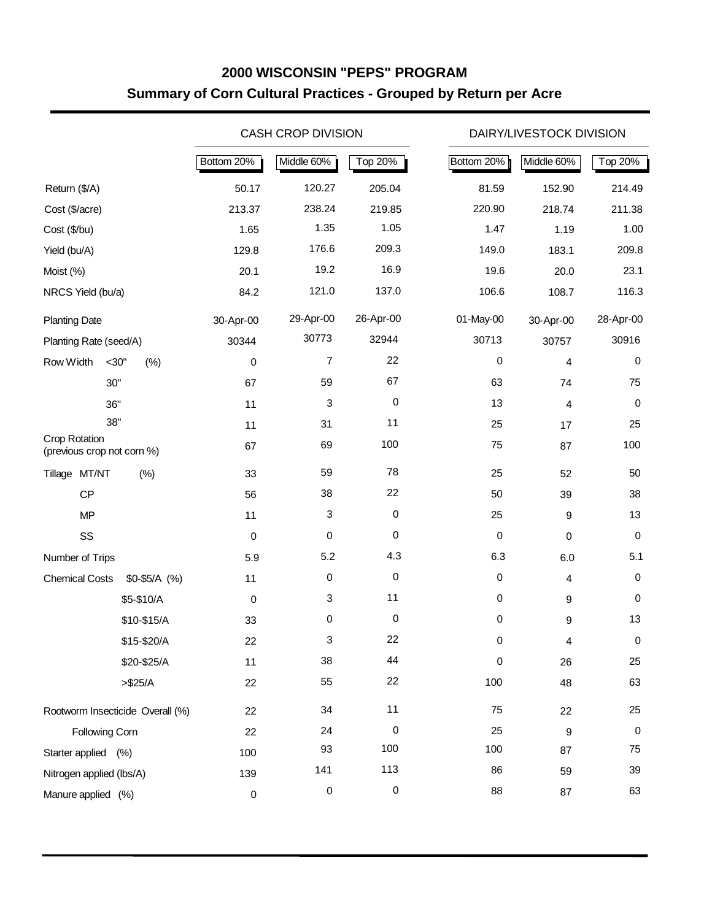## **2000 WISCONSIN "PEPS" PROGRAM Summary of Corn Cultural Practices - Grouped by Return per Acre**

|                                             |                                  |            | <b>CASH CROP DIVISION</b> |             |            | DAIRY/LIVESTOCK DIVISION |           |
|---------------------------------------------|----------------------------------|------------|---------------------------|-------------|------------|--------------------------|-----------|
|                                             |                                  | Bottom 20% | Middle 60%                | Top 20%     | Bottom 20% | Middle 60%               | Top 20%   |
| Return (\$/A)                               |                                  | 50.17      | 120.27                    | 205.04      | 81.59      | 152.90                   | 214.49    |
| Cost (\$/acre)                              |                                  | 213.37     | 238.24                    | 219.85      | 220.90     | 218.74                   | 211.38    |
| Cost (\$/bu)                                |                                  | 1.65       | 1.35                      | 1.05        | 1.47       | 1.19                     | 1.00      |
| Yield (bu/A)                                |                                  | 129.8      | 176.6                     | 209.3       | 149.0      | 183.1                    | 209.8     |
| Moist (%)                                   |                                  | 20.1       | 19.2                      | 16.9        | 19.6       | 20.0                     | 23.1      |
| NRCS Yield (bu/a)                           |                                  | 84.2       | 121.0                     | 137.0       | 106.6      | 108.7                    | 116.3     |
| <b>Planting Date</b>                        |                                  | 30-Apr-00  | 29-Apr-00                 | 26-Apr-00   | 01-May-00  | 30-Apr-00                | 28-Apr-00 |
| Planting Rate (seed/A)                      |                                  | 30344      | 30773                     | 32944       | 30713      | 30757                    | 30916     |
| Row Width                                   | (%)<br>$<$ 30"                   | 0          | $\overline{7}$            | 22          | $\pmb{0}$  | 4                        | $\pmb{0}$ |
|                                             | 30"                              | 67         | 59                        | 67          | 63         | 74                       | 75        |
|                                             | 36"                              | 11         | 3                         | 0           | 13         | 4                        | 0         |
|                                             | 38"                              | 11         | 31                        | 11          | 25         | 17                       | 25        |
| Crop Rotation<br>(previous crop not corn %) |                                  | 67         | 69                        | 100         | 75         | 87                       | 100       |
| Tillage MT/NT                               | (%)                              | 33         | 59                        | 78          | 25         | 52                       | 50        |
| CP                                          |                                  | 56         | 38                        | 22          | 50         | 39                       | 38        |
| <b>MP</b>                                   |                                  | 11         | 3                         | $\mathbf 0$ | 25         | 9                        | 13        |
| SS                                          |                                  | 0          | 0                         | $\mathbf 0$ | $\pmb{0}$  | $\mathbf 0$              | 0         |
| Number of Trips                             |                                  | 5.9        | 5.2                       | 4.3         | 6.3        | 6.0                      | 5.1       |
| <b>Chemical Costs</b>                       | $$0-$5/A$ (%)                    | 11         | 0                         | 0           | $\pmb{0}$  | 4                        | $\pmb{0}$ |
|                                             | \$5-\$10/A                       | 0          | 3                         | 11          | $\pmb{0}$  | 9                        | 0         |
|                                             | \$10-\$15/A                      | 33         | 0                         | 0           | $\pmb{0}$  | 9                        | 13        |
|                                             | \$15-\$20/A                      | 22         | 3                         | 22          | 0          | 4                        | 0         |
|                                             | \$20-\$25/A                      | 11         | 38                        | 44          | $\pmb{0}$  | 26                       | 25        |
|                                             | $> $25/A$                        | 22         | 55                        | 22          | 100        | 48                       | 63        |
|                                             | Rootworm Insecticide Overall (%) | 22         | 34                        | 11          | 75         | 22                       | 25        |
| Following Corn                              |                                  | 22         | 24                        | 0           | 25         | 9                        | 0         |
| Starter applied (%)                         |                                  | 100        | 93                        | 100         | 100        | 87                       | 75        |
| Nitrogen applied (lbs/A)                    |                                  | 139        | 141                       | 113         | 86         | 59                       | 39        |
| Manure applied (%)                          |                                  | $\pmb{0}$  | 0                         | $\,0\,$     | 88         | 87                       | 63        |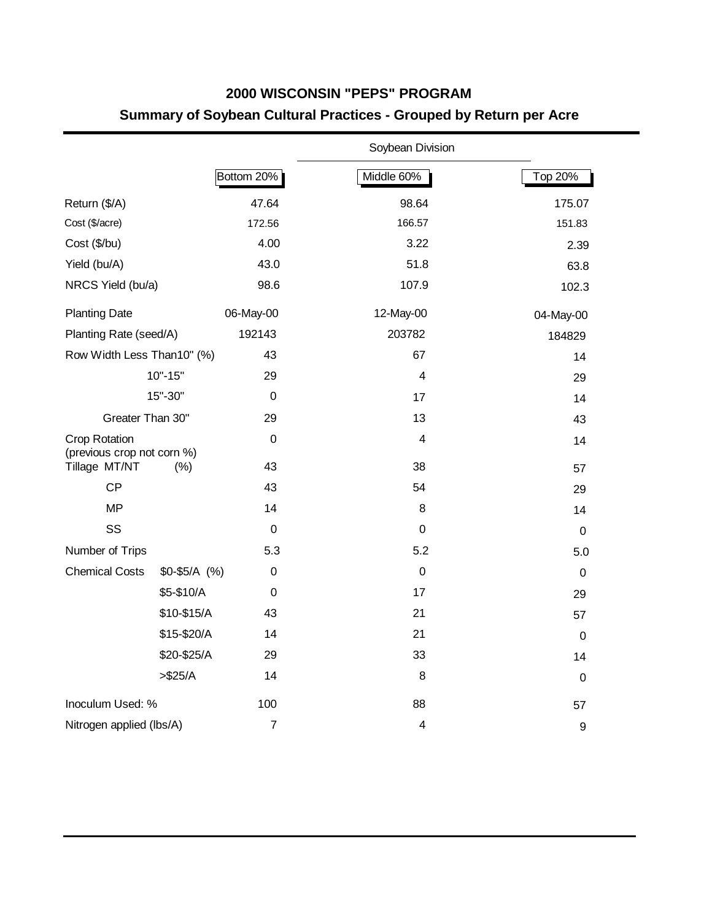# **2000 WISCONSIN "PEPS" PROGRAM Summary of Soybean Cultural Practices - Grouped by Return per Acre**

|                                                    |               |                  | Soybean Division |             |
|----------------------------------------------------|---------------|------------------|------------------|-------------|
|                                                    |               | Bottom 20%       | Middle 60%       | Top 20%     |
| Return (\$/A)                                      |               | 47.64            | 98.64            | 175.07      |
| Cost (\$/acre)                                     |               | 172.56           | 166.57           | 151.83      |
| Cost (\$/bu)                                       |               | 4.00             | 3.22             | 2.39        |
| Yield (bu/A)                                       |               | 43.0             | 51.8             | 63.8        |
| NRCS Yield (bu/a)                                  |               | 98.6             | 107.9            | 102.3       |
| <b>Planting Date</b>                               |               | 06-May-00        | 12-May-00        | 04-May-00   |
| Planting Rate (seed/A)                             |               | 192143           | 203782           | 184829      |
| Row Width Less Than10" (%)                         |               | 43               | 67               | 14          |
|                                                    | $10" - 15"$   | 29               | $\overline{4}$   | 29          |
|                                                    | 15"-30"       | $\mathbf 0$      | 17               | 14          |
| Greater Than 30"                                   |               | 29               | 13               | 43          |
| <b>Crop Rotation</b><br>(previous crop not corn %) |               | $\mathbf 0$      | 4                | 14          |
| Tillage MT/NT                                      | (% )          | 43               | 38               | 57          |
| CP                                                 |               | 43               | 54               | 29          |
| <b>MP</b>                                          |               | 14               | 8                | 14          |
| SS                                                 |               | 0                | $\pmb{0}$        | $\mathbf 0$ |
| Number of Trips                                    |               | 5.3              | 5.2              | 5.0         |
| <b>Chemical Costs</b>                              | $$0-$5/A$ (%) | 0                | $\mathbf 0$      | $\mathbf 0$ |
|                                                    | \$5-\$10/A    | $\boldsymbol{0}$ | 17               | 29          |
|                                                    | \$10-\$15/A   | 43               | 21               | 57          |
|                                                    | \$15-\$20/A   | 14               | 21               | $\mathbf 0$ |
|                                                    | \$20-\$25/A   | 29               | 33               | 14          |
|                                                    | > \$25/A      | 14               | 8                | $\mathbf 0$ |
| Inoculum Used: %                                   |               | 100              | 88               | 57          |
| Nitrogen applied (lbs/A)                           |               | $\overline{7}$   | 4                | 9           |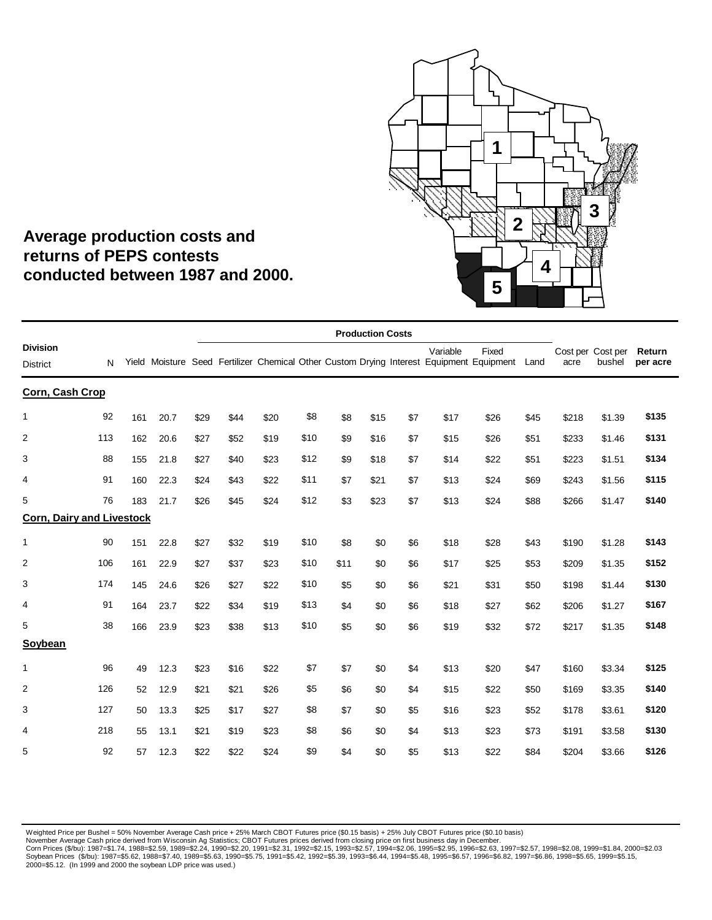

## **Average production costs and returns of PEPS contests conducted between 1987 and 2000.**

|                                    |     |     |      |      |      |      |      |      | <b>Production Costs</b> |     |          |                                                                                                        |      |       |                             |                    |
|------------------------------------|-----|-----|------|------|------|------|------|------|-------------------------|-----|----------|--------------------------------------------------------------------------------------------------------|------|-------|-----------------------------|--------------------|
| <b>Division</b><br><b>District</b> | N   |     |      |      |      |      |      |      |                         |     | Variable | Fixed<br>Yield Moisture Seed Fertilizer Chemical Other Custom Drying Interest Equipment Equipment Land |      | acre  | Cost per Cost per<br>bushel | Return<br>per acre |
| Corn, Cash Crop                    |     |     |      |      |      |      |      |      |                         |     |          |                                                                                                        |      |       |                             |                    |
| 1                                  | 92  | 161 | 20.7 | \$29 | \$44 | \$20 | \$8  | \$8  | \$15                    | \$7 | \$17     | \$26                                                                                                   | \$45 | \$218 | \$1.39                      | \$135              |
| $\overline{2}$                     | 113 | 162 | 20.6 | \$27 | \$52 | \$19 | \$10 | \$9  | \$16                    | \$7 | \$15     | \$26                                                                                                   | \$51 | \$233 | \$1.46                      | \$131              |
| 3                                  | 88  | 155 | 21.8 | \$27 | \$40 | \$23 | \$12 | \$9  | \$18                    | \$7 | \$14     | \$22                                                                                                   | \$51 | \$223 | \$1.51                      | \$134              |
| 4                                  | 91  | 160 | 22.3 | \$24 | \$43 | \$22 | \$11 | \$7  | \$21                    | \$7 | \$13     | \$24                                                                                                   | \$69 | \$243 | \$1.56                      | \$115              |
| 5                                  | 76  | 183 | 21.7 | \$26 | \$45 | \$24 | \$12 | \$3  | \$23                    | \$7 | \$13     | \$24                                                                                                   | \$88 | \$266 | \$1.47                      | \$140              |
| <b>Corn, Dairy and Livestock</b>   |     |     |      |      |      |      |      |      |                         |     |          |                                                                                                        |      |       |                             |                    |
| $\mathbf{1}$                       | 90  | 151 | 22.8 | \$27 | \$32 | \$19 | \$10 | \$8  | \$0                     | \$6 | \$18     | \$28                                                                                                   | \$43 | \$190 | \$1.28                      | \$143              |
| $\overline{2}$                     | 106 | 161 | 22.9 | \$27 | \$37 | \$23 | \$10 | \$11 | \$0                     | \$6 | \$17     | \$25                                                                                                   | \$53 | \$209 | \$1.35                      | \$152              |
| 3                                  | 174 | 145 | 24.6 | \$26 | \$27 | \$22 | \$10 | \$5  | \$0                     | \$6 | \$21     | \$31                                                                                                   | \$50 | \$198 | \$1.44                      | \$130              |
| $\overline{4}$                     | 91  | 164 | 23.7 | \$22 | \$34 | \$19 | \$13 | \$4  | \$0                     | \$6 | \$18     | \$27                                                                                                   | \$62 | \$206 | \$1.27                      | \$167              |
| 5                                  | 38  | 166 | 23.9 | \$23 | \$38 | \$13 | \$10 | \$5  | \$0                     | \$6 | \$19     | \$32                                                                                                   | \$72 | \$217 | \$1.35                      | \$148              |
| Soybean                            |     |     |      |      |      |      |      |      |                         |     |          |                                                                                                        |      |       |                             |                    |
| $\mathbf{1}$                       | 96  | 49  | 12.3 | \$23 | \$16 | \$22 | \$7  | \$7  | \$0                     | \$4 | \$13     | \$20                                                                                                   | \$47 | \$160 | \$3.34                      | \$125              |
| 2                                  | 126 | 52  | 12.9 | \$21 | \$21 | \$26 | \$5  | \$6  | \$0                     | \$4 | \$15     | \$22                                                                                                   | \$50 | \$169 | \$3.35                      | \$140              |
| 3                                  | 127 | 50  | 13.3 | \$25 | \$17 | \$27 | \$8  | \$7  | \$0                     | \$5 | \$16     | \$23                                                                                                   | \$52 | \$178 | \$3.61                      | \$120              |
| 4                                  | 218 | 55  | 13.1 | \$21 | \$19 | \$23 | \$8  | \$6  | \$0                     | \$4 | \$13     | \$23                                                                                                   | \$73 | \$191 | \$3.58                      | \$130              |
| 5                                  | 92  | 57  | 12.3 | \$22 | \$22 | \$24 | \$9  | \$4  | \$0                     | \$5 | \$13     | \$22                                                                                                   | \$84 | \$204 | \$3.66                      | \$126              |
|                                    |     |     |      |      |      |      |      |      |                         |     |          |                                                                                                        |      |       |                             |                    |

Weighted Price per Bushel = 50% November Average Cash price + 25% March CBOT Futures price (\$0.15 basis) + 25% July CBOT Futures price (\$0.10 basis)<br>November Average Cash price derived from Wisconsin Ag Statistics; CBOT F 2000=\$5.12. (In 1999 and 2000 the soybean LDP price was used.)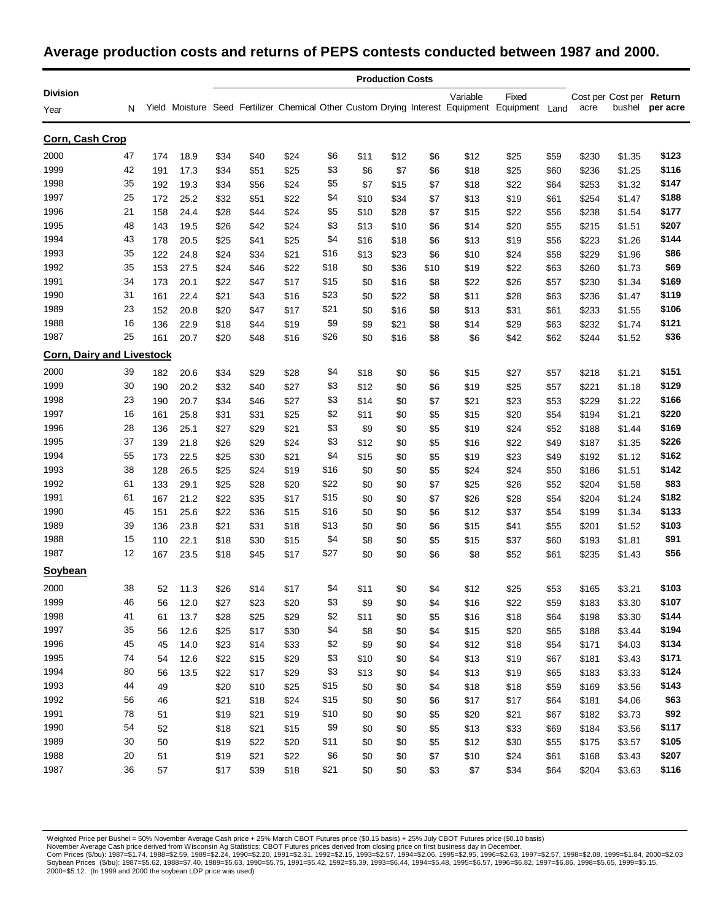#### **Average production costs and returns of PEPS contests conducted between 1987 and 2000.**

|                                  | <b>Production Costs</b> |     |      |      |      |      |      |      |      |      |          |                                                                                               |      |       |                          |          |
|----------------------------------|-------------------------|-----|------|------|------|------|------|------|------|------|----------|-----------------------------------------------------------------------------------------------|------|-------|--------------------------|----------|
| <b>Division</b>                  |                         |     |      |      |      |      |      |      |      |      | Variable | Fixed                                                                                         |      |       | Cost per Cost per Return |          |
| Year                             | N                       |     |      |      |      |      |      |      |      |      |          | Yield Moisture Seed Fertilizer Chemical Other Custom Drying Interest Equipment Equipment Land |      | acre  | bushel                   | per acre |
| Corn, Cash Crop                  |                         |     |      |      |      |      |      |      |      |      |          |                                                                                               |      |       |                          |          |
| 2000                             | 47                      | 174 | 18.9 | \$34 | \$40 | \$24 | \$6  | \$11 | \$12 | \$6  | \$12     | \$25                                                                                          | \$59 | \$230 | \$1.35                   | \$123    |
| 1999                             | 42                      | 191 | 17.3 | \$34 | \$51 | \$25 | \$3  | \$6  | \$7  | \$6  | \$18     | \$25                                                                                          | \$60 | \$236 | \$1.25                   | \$116    |
| 1998                             | 35                      | 192 | 19.3 | \$34 | \$56 | \$24 | \$5  | \$7  | \$15 | \$7  | \$18     | \$22                                                                                          | \$64 | \$253 | \$1.32                   | \$147    |
| 1997                             | 25                      | 172 | 25.2 | \$32 | \$51 | \$22 | \$4  | \$10 | \$34 | \$7  | \$13     | \$19                                                                                          | \$61 | \$254 | \$1.47                   | \$188    |
| 1996                             | 21                      | 158 | 24.4 | \$28 | \$44 | \$24 | \$5  | \$10 | \$28 | \$7  | \$15     | \$22                                                                                          | \$56 | \$238 | \$1.54                   | \$177    |
| 1995                             | 48                      | 143 | 19.5 | \$26 | \$42 | \$24 | \$3  | \$13 | \$10 | \$6  | \$14     | \$20                                                                                          | \$55 | \$215 | \$1.51                   | \$207    |
| 1994                             | 43                      | 178 | 20.5 | \$25 | \$41 | \$25 | \$4  | \$16 | \$18 | \$6  | \$13     | \$19                                                                                          | \$56 | \$223 | \$1.26                   | \$144    |
| 1993                             | 35                      | 122 | 24.8 | \$24 | \$34 | \$21 | \$16 | \$13 | \$23 | \$6  | \$10     | \$24                                                                                          | \$58 | \$229 | \$1.96                   | \$86     |
| 1992                             | 35                      | 153 | 27.5 | \$24 | \$46 | \$22 | \$18 | \$0  | \$36 | \$10 | \$19     | \$22                                                                                          | \$63 | \$260 | \$1.73                   | \$69     |
| 1991                             | 34                      | 173 | 20.1 | \$22 | \$47 | \$17 | \$15 | \$0  | \$16 | \$8  | \$22     | \$26                                                                                          | \$57 | \$230 | \$1.34                   | \$169    |
| 1990                             | 31                      | 161 | 22.4 | \$21 | \$43 | \$16 | \$23 | \$0  | \$22 | \$8  | \$11     | \$28                                                                                          | \$63 | \$236 | \$1.47                   | \$119    |
| 1989                             | 23                      | 152 | 20.8 | \$20 | \$47 | \$17 | \$21 | \$0  | \$16 | \$8  | \$13     | \$31                                                                                          | \$61 | \$233 | \$1.55                   | \$106    |
| 1988                             | 16                      | 136 | 22.9 | \$18 | \$44 | \$19 | \$9  | \$9  | \$21 | \$8  | \$14     | \$29                                                                                          | \$63 | \$232 | \$1.74                   | \$121    |
| 1987                             | 25                      | 161 | 20.7 | \$20 | \$48 | \$16 | \$26 | \$0  | \$16 | \$8  | \$6      | \$42                                                                                          | \$62 | \$244 | \$1.52                   | \$36     |
| <b>Corn, Dairy and Livestock</b> |                         |     |      |      |      |      |      |      |      |      |          |                                                                                               |      |       |                          |          |
| 2000                             | 39                      | 182 | 20.6 | \$34 | \$29 | \$28 | \$4  | \$18 | \$0  | \$6  | \$15     | \$27                                                                                          | \$57 | \$218 | \$1.21                   | \$151    |
| 1999                             | 30                      | 190 | 20.2 | \$32 | \$40 | \$27 | \$3  | \$12 | \$0  | \$6  | \$19     | \$25                                                                                          | \$57 | \$221 | \$1.18                   | \$129    |
| 1998                             | 23                      | 190 | 20.7 | \$34 | \$46 | \$27 | \$3  | \$14 | \$0  | \$7  | \$21     | \$23                                                                                          | \$53 | \$229 | \$1.22                   | \$166    |
| 1997                             | 16                      | 161 | 25.8 | \$31 | \$31 | \$25 | \$2  | \$11 | \$0  | \$5  | \$15     | \$20                                                                                          | \$54 | \$194 | \$1.21                   | \$220    |
| 1996                             | 28                      | 136 | 25.1 | \$27 | \$29 | \$21 | \$3  | \$9  | \$0  | \$5  | \$19     | \$24                                                                                          | \$52 | \$188 | \$1.44                   | \$169    |
| 1995                             | 37                      | 139 | 21.8 | \$26 | \$29 | \$24 | \$3  | \$12 | \$0  | \$5  | \$16     | \$22                                                                                          | \$49 | \$187 | \$1.35                   | \$226    |
| 1994                             | 55                      | 173 | 22.5 | \$25 | \$30 | \$21 | \$4  | \$15 | \$0  | \$5  | \$19     | \$23                                                                                          | \$49 | \$192 | \$1.12                   | \$162    |
| 1993                             | 38                      | 128 | 26.5 | \$25 | \$24 | \$19 | \$16 | \$0  | \$0  | \$5  | \$24     | \$24                                                                                          | \$50 | \$186 | \$1.51                   | \$142    |
| 1992                             | 61                      | 133 | 29.1 | \$25 | \$28 | \$20 | \$22 | \$0  | \$0  | \$7  | \$25     | \$26                                                                                          | \$52 | \$204 | \$1.58                   | \$83     |
| 1991                             | 61                      | 167 | 21.2 | \$22 | \$35 | \$17 | \$15 | \$0  | \$0  | \$7  | \$26     | \$28                                                                                          | \$54 | \$204 | \$1.24                   | \$182    |
| 1990                             | 45                      | 151 | 25.6 | \$22 | \$36 | \$15 | \$16 | \$0  | \$0  | \$6  | \$12     | \$37                                                                                          | \$54 | \$199 | \$1.34                   | \$133    |
| 1989                             | 39                      | 136 | 23.8 | \$21 | \$31 | \$18 | \$13 | \$0  | \$0  | \$6  | \$15     | \$41                                                                                          | \$55 | \$201 | \$1.52                   | \$103    |
| 1988                             | 15                      | 110 | 22.1 | \$18 | \$30 | \$15 | \$4  | \$8  | \$0  | \$5  | \$15     | \$37                                                                                          | \$60 | \$193 | \$1.81                   | \$91     |
| 1987                             | 12                      | 167 | 23.5 | \$18 | \$45 | \$17 | \$27 | \$0  | \$0  | \$6  | \$8      | \$52                                                                                          | \$61 | \$235 | \$1.43                   | \$56     |
| Soybean                          |                         |     |      |      |      |      |      |      |      |      |          |                                                                                               |      |       |                          |          |
| 2000                             | 38                      | 52  | 11.3 | \$26 | \$14 | \$17 | \$4  | \$11 | \$0  | \$4  | \$12     | \$25                                                                                          | \$53 | \$165 | \$3.21                   | \$103    |
| 1999                             | 46                      | 56  | 12.0 | \$27 | \$23 | \$20 | \$3  | \$9  | \$0  | \$4  | \$16     | \$22                                                                                          | \$59 | \$183 | \$3.30                   | \$107    |
| 1998                             | 41                      | 61  | 13.7 | \$28 | \$25 | \$29 | \$2  | \$11 | \$0  | \$5  | \$16     | \$18                                                                                          | \$64 | \$198 | \$3.30                   | \$144    |
| 1997                             | 35                      | 56  | 12.6 | \$25 | \$17 | \$30 | \$4  | \$8  | \$0  | \$4  | \$15     | \$20                                                                                          | \$65 | \$188 | \$3.44                   | \$194    |
| 1996                             | 45                      | 45  | 14.0 | \$23 | \$14 | \$33 | \$2  | \$9  | \$0  | \$4  | \$12     | \$18                                                                                          | \$54 | \$171 | \$4.03                   | \$134    |
| 1995                             | 74                      | 54  | 12.6 | \$22 | \$15 | \$29 | \$3  | \$10 | \$0  | \$4  | \$13     | \$19                                                                                          | \$67 | \$181 | \$3.43                   | \$171    |
| 1994                             | 80                      | 56  | 13.5 | \$22 | \$17 | \$29 | \$3  | \$13 | \$0  | \$4  | \$13     | \$19                                                                                          | \$65 | \$183 | \$3.33                   | \$124    |
| 1993                             | 44                      | 49  |      | \$20 | \$10 | \$25 | \$15 | \$0  | \$0  | \$4  | \$18     | \$18                                                                                          | \$59 | \$169 | \$3.56                   | \$143    |
| 1992                             | 56                      | 46  |      | \$21 | \$18 | \$24 | \$15 | \$0  | \$0  | \$6  | \$17     | \$17                                                                                          | \$64 | \$181 | \$4.06                   | \$63     |
| 1991                             | 78                      | 51  |      | \$19 | \$21 | \$19 | \$10 | \$0  | \$0  | \$5  | \$20     | \$21                                                                                          | \$67 | \$182 | \$3.73                   | \$92     |
| 1990                             | 54                      | 52  |      | \$18 | \$21 | \$15 | \$9  | \$0  | \$0  | \$5  | \$13     | \$33                                                                                          | \$69 | \$184 | \$3.56                   | \$117    |
| 1989                             | 30                      | 50  |      | \$19 | \$22 | \$20 | \$11 | \$0  | \$0  | \$5  | \$12     | \$30                                                                                          | \$55 | \$175 | \$3.57                   | \$105    |
| 1988                             | 20                      | 51  |      | \$19 | \$21 | \$22 | \$6  | \$0  | \$0  | \$7  | \$10     | \$24                                                                                          | \$61 | \$168 | \$3.43                   | \$207    |
| 1987                             | 36                      | 57  |      | \$17 | \$39 | \$18 | \$21 | \$0  | \$0  | \$3  | $$7\,$   | \$34                                                                                          | \$64 | \$204 | \$3.63                   | \$116    |

Weighted Price per Bushel = 50% November Average Cash price + 25% March CBOT Futures price (\$0.15 basis) + 25% July CBOT Futures price (\$0.10 basis)<br>November Average Cash price derived from Wisconsin Ag Statistics; CBOT F 2000=\$5.12. (In 1999 and 2000 the soybean LDP price was used)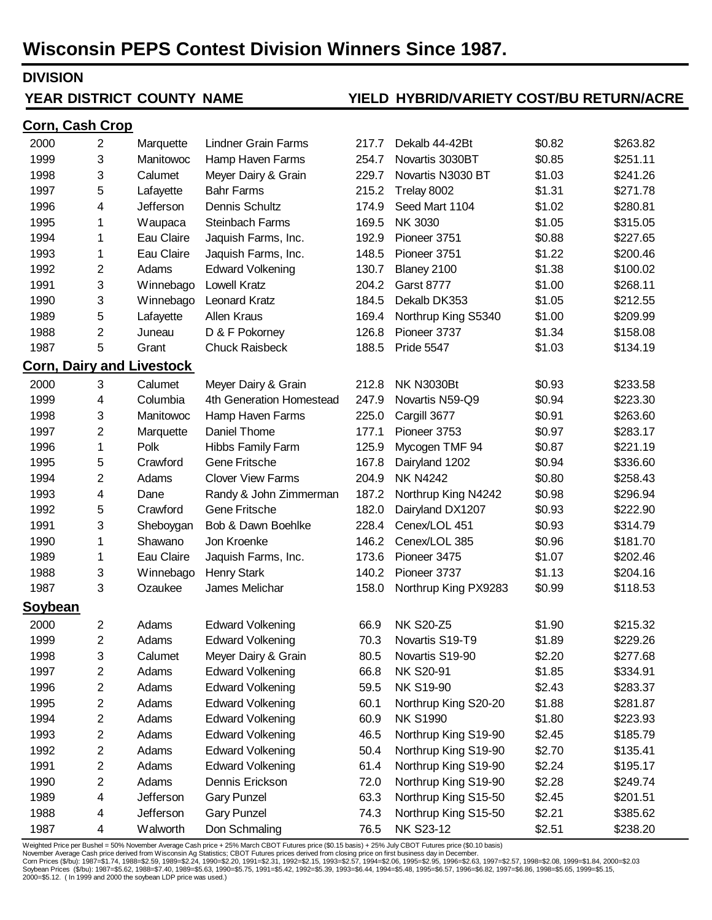# **Wisconsin PEPS Contest Division Winners Since 1987.**

#### **DIVISION**

**Corn, Cash Crop**

#### **YEAR DISTRICT COUNTY NAME**

#### **DISTRICT COUNTY NAME YIELD HYBRID/VARIETY COST/BU RETURN/ACRE**

#### 2000 2 Marquette Lindner Grain Farms 217.7 Dekalb 44-42Bt \$0.82 \$263.82 1999 3 Manitowoc Hamp Haven Farms 254.7 Novartis 3030BT \$0.85 \$251.11 1998 3 Calumet Meyer Dairy & Grain 229.7 Novartis N3030 BT \$1.03 \$241.26 1997 5 Lafayette Bahr Farms 215.2 Trelay 8002 \$1.31 \$271.78 1996 4 Jefferson Dennis Schultz 174.9 Seed Mart 1104 \$1.02 \$280.81 1995 1 Waupaca Steinbach Farms 169.5 NK 3030 \$1.05 \$315.05 1994 1 Eau Claire Jaquish Farms, Inc. 192.9 Pioneer 3751 \$0.88 \$227.65 1993 1 Eau Claire Jaquish Farms, Inc. 148.5 Pioneer 3751 \$1.22 \$200.46 1992 2 Adams Edward Volkening 130.7 Blaney 2100 \$1.38 \$100.02 1991 3 Winnebago Lowell Kratz 204.2 Garst 8777 \$1.00 \$268.11 1990 3 Winnebago Leonard Kratz 184.5 Dekalb DK353 \$1.05 \$212.55 1989 5 Lafayette Allen Kraus 169.4 Northrup King S5340 \$1.00 \$209.99 1988 2 Juneau D & F Pokorney 126.8 Pioneer 3737 \$1.34 \$158.08 1987 5 Grant Chuck Raisbeck 188.5 Pride 5547 \$1.03 \$134.19 **Corn, Dairy and Livestock** 2000 3 Calumet Meyer Dairy & Grain 212.8 NK N3030Bt \$0.93 \$233.58 1999 4 Columbia 4th Generation Homestead 247.9 Novartis N59-Q9 \$0.94 \$223.30 1998 3 Manitowoc Hamp Haven Farms 225.0 Cargill 3677 \$0.91 \$263.60 1997 1997 2 Marquette Daniel Thome 177.1 Pioneer 3753 \$0.97 \$283.17 1996 1 Polk Hibbs Family Farm 125.9 Mycogen TMF 94 \$0.87 \$221.19 1995 5 Crawford Gene Fritsche 167.8 Dairyland 1202 \$0.94 \$336.60 1994 2 Adams Clover View Farms 204.9 NK N4242 \$0.80 \$258.43 1993 4 Dane Randy & John Zimmerman 187.2 Northrup King N4242 \$0.98 \$296.94 1992 5 Crawford Gene Fritsche 182.0 Dairyland DX1207 \$0.93 \$222.90 1991 3 Sheboygan Bob & Dawn Boehlke 228.4 Cenex/LOL 451 \$0.93 \$314.79 1990 1 Shawano Jon Kroenke 146.2 Cenex/LOL 385 \$0.96 \$181.70 1989 1 Eau Claire Jaquish Farms, Inc. 173.6 Pioneer 3475 \$1.07 \$202.46 1988 1988 3 Winnebago Henry Stark 140.2 Pioneer 3737 \$1.13 \$204.16 1987 3 Ozaukee James Melichar 158.0 Northrup King PX9283 \$0.99 \$118.53 **Soybean** 2000 2 Adams Edward Volkening 66.9 NK S20-Z5 \$1.90 \$215.32 1999 2 Adams Edward Volkening 70.3 Novartis S19-T9 \$1.89 \$229.26 1998 3 Calumet Meyer Dairy & Grain 80.5 Novartis S19-90 \$2.20 \$277.68 1997 2 Adams Edward Volkening 66.8 NK S20-91 \$1.85 \$334.91 1996 2 Adams Edward Volkening 59.5 NK S19-90 \$2.43 \$283.37 1995 2 Adams Edward Volkening 60.1 Northrup King S20-20 \$1.88 \$281.87 1994 2 Adams Edward Volkening 60.9 NK S1990 \$1.80 \$223.93 1993 2 Adams Edward Volkening 46.5 Northrup King S19-90 \$2.45 \$185.79 1992 2 Adams Edward Volkening 50.4 Northrup King S19-90 \$2.70 \$135.41 1991 2 Adams Edward Volkening 61.4 Northrup King S19-90 \$2.24 \$195.17 1990 2 Adams Dennis Erickson 72.0 Northrup King S19-90 \$2.28 \$249.74

Weighted Price per Bushel = 50% November Average Cash price + 25% March CBOT Futures price (\$0.15 basis) + 25% July CBOT Futures price (\$0.10 basis)

November Average Cash price derived from Wisconsin Ag Statistics; CBOT Futures prices derived from closing price on first business day in December.

Corn Prices (\$/bu): 1987=\$1.74, 1988=\$2.59, 1989=\$2.24, 1990=\$2.20, 1991=\$2.31, 1992=\$2.15, 1993=\$2.57, 1994=\$2.05, 1995=\$2.95, 1996=\$2.63, 1997=\$2.57, 1998=\$2.08, 1999=\$1.84, 2000=\$2.03 Soybean Prices (\$/bu): 1987=\$5.62, 1988=\$7.40, 1989=\$5.63, 1990=\$5.75, 1991=\$5.42, 1992=\$5.39, 1993=\$6.44, 1994=\$5.48, 1995=\$6.57, 1996=\$6.82, 1997=\$6.86, 1998=\$5.65, 1999=\$5.15, 2000=\$5.12. ( In 1999 and 2000 the soybean LDP price was used.)

1989 4 Jefferson Gary Punzel 63.3 Northrup King S15-50 \$2.45 \$201.51 1988 4 Jefferson Gary Punzel 74.3 Northrup King S15-50 \$2.21 \$385.62 1987 4 Walworth Don Schmaling 76.5 NK S23-12 \$2.51 \$238.20